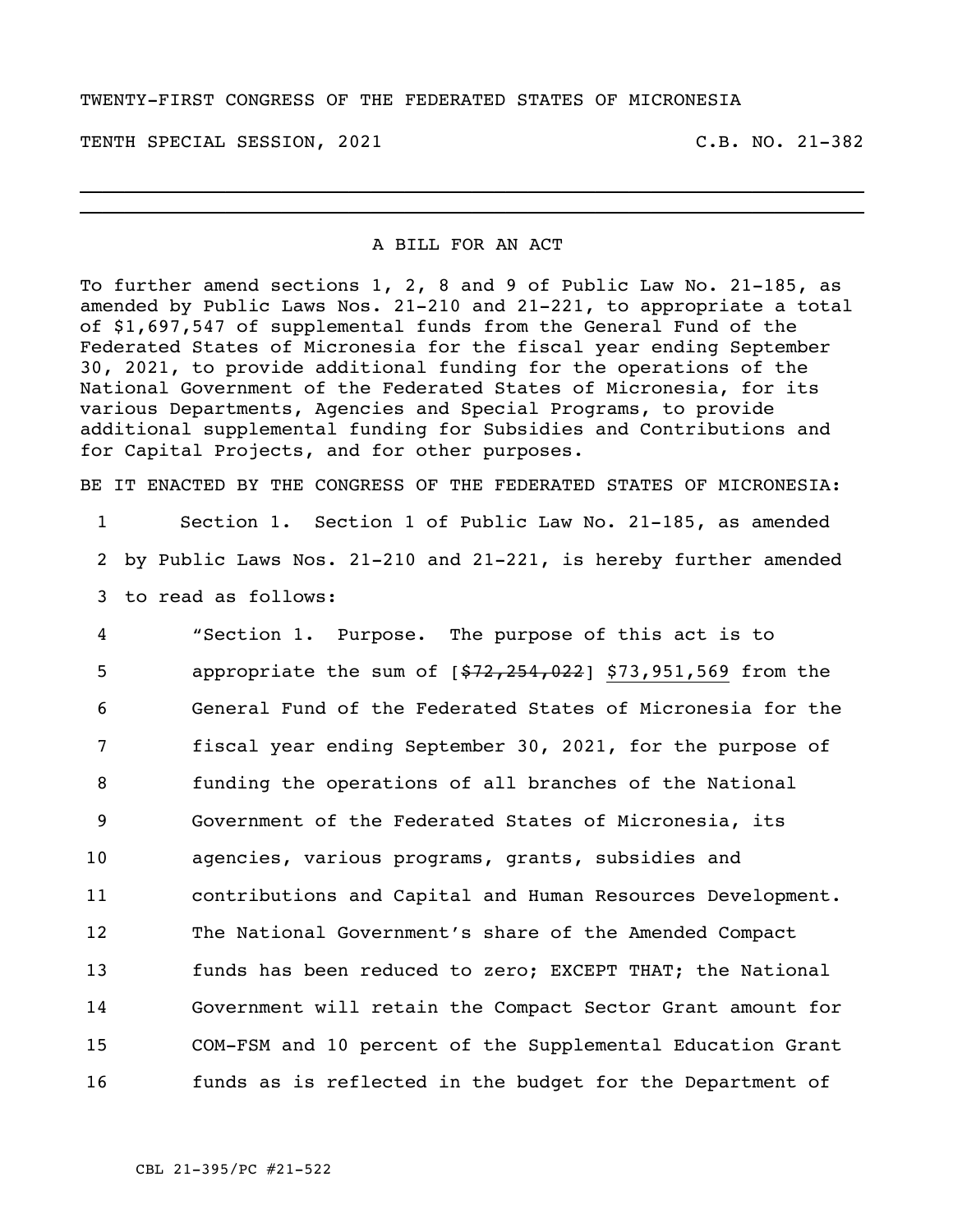## TWENTY-FIRST CONGRESS OF THE FEDERATED STATES OF MICRONESIA

TENTH SPECIAL SESSION, 2021 C.B. NO. 21-382

## A BILL FOR AN ACT

\_\_\_\_\_\_\_\_\_\_\_\_\_\_\_\_\_\_\_\_\_\_\_\_\_\_\_\_\_\_\_\_\_\_\_\_\_\_\_\_\_\_\_\_\_\_\_\_\_\_\_\_\_\_\_\_\_\_\_\_\_\_\_\_\_\_\_\_\_\_ \_\_\_\_\_\_\_\_\_\_\_\_\_\_\_\_\_\_\_\_\_\_\_\_\_\_\_\_\_\_\_\_\_\_\_\_\_\_\_\_\_\_\_\_\_\_\_\_\_\_\_\_\_\_\_\_\_\_\_\_\_\_\_\_\_\_\_\_\_\_

To further amend sections 1, 2, 8 and 9 of Public Law No. 21-185, as amended by Public Laws Nos. 21-210 and 21-221, to appropriate a total of \$1,697,547 of supplemental funds from the General Fund of the Federated States of Micronesia for the fiscal year ending September 30, 2021, to provide additional funding for the operations of the National Government of the Federated States of Micronesia, for its various Departments, Agencies and Special Programs, to provide additional supplemental funding for Subsidies and Contributions and for Capital Projects, and for other purposes.

BE IT ENACTED BY THE CONGRESS OF THE FEDERATED STATES OF MICRONESIA:

1 Section 1. Section 1 of Public Law No. 21-185, as amended 2 by Public Laws Nos. 21-210 and 21-221, is hereby further amended 3 to read as follows:

 "Section 1. Purpose. The purpose of this act is to 5 appropriate the sum of  $[$72,254,022]$  \$73,951,569 from the General Fund of the Federated States of Micronesia for the fiscal year ending September 30, 2021, for the purpose of funding the operations of all branches of the National Government of the Federated States of Micronesia, its agencies, various programs, grants, subsidies and contributions and Capital and Human Resources Development. The National Government's share of the Amended Compact funds has been reduced to zero; EXCEPT THAT; the National Government will retain the Compact Sector Grant amount for COM-FSM and 10 percent of the Supplemental Education Grant funds as is reflected in the budget for the Department of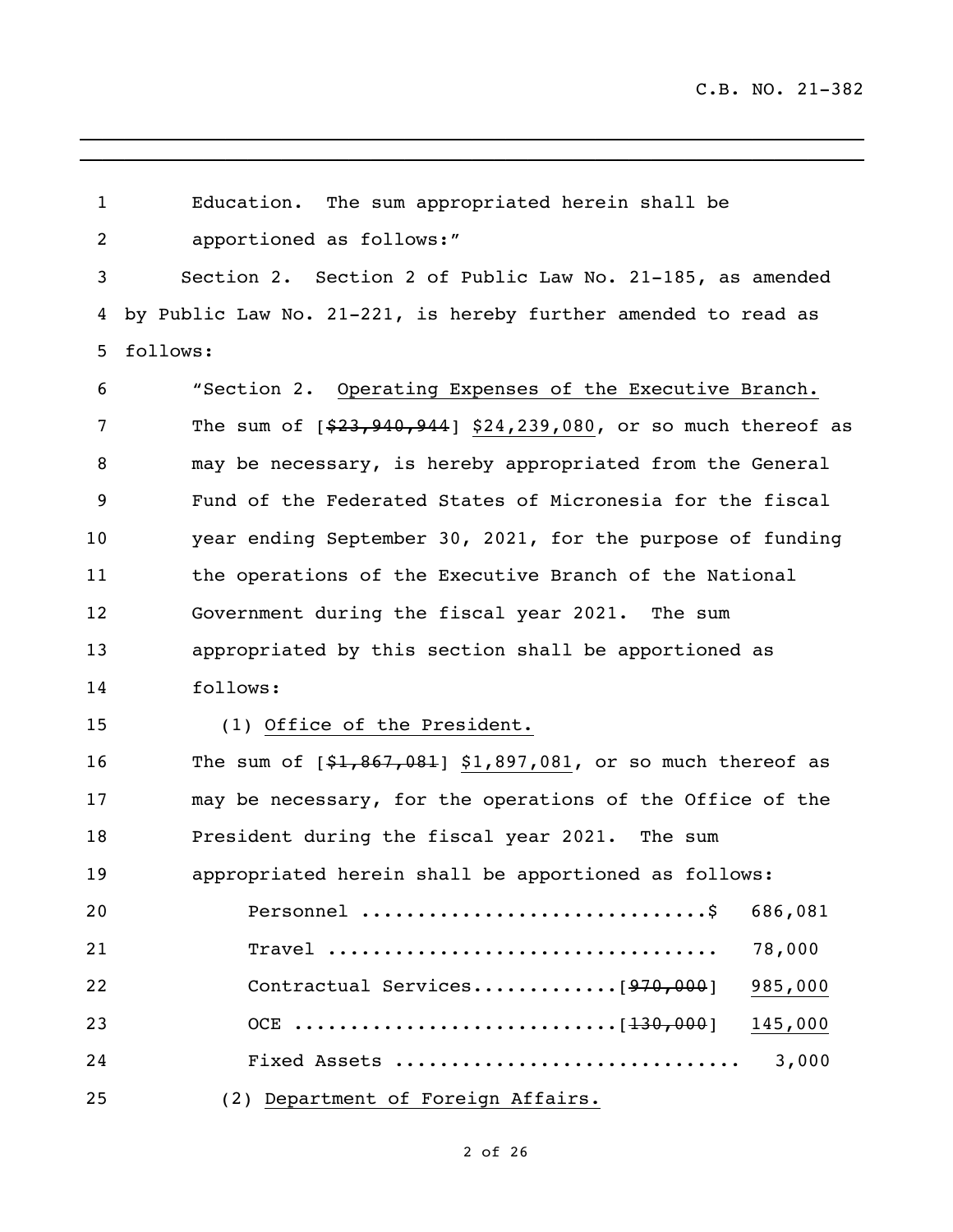| 1              | Education. The sum appropriated herein shall be                |
|----------------|----------------------------------------------------------------|
| $\overline{2}$ | apportioned as follows:"                                       |
| 3              | Section 2. Section 2 of Public Law No. 21-185, as amended      |
| 4              | by Public Law No. 21-221, is hereby further amended to read as |
| 5              | follows:                                                       |
| 6              | "Section 2. Operating Expenses of the Executive Branch.        |
| 7              | The sum of $[$23,940,944]$ \$24,239,080, or so much thereof as |
| 8              | may be necessary, is hereby appropriated from the General      |
| 9              | Fund of the Federated States of Micronesia for the fiscal      |
| 10             | year ending September 30, 2021, for the purpose of funding     |
| 11             | the operations of the Executive Branch of the National         |
| 12             | Government during the fiscal year 2021. The sum                |
| 13             | appropriated by this section shall be apportioned as           |
| 14             | follows:                                                       |
| 15             | (1) Office of the President.                                   |
| 16             | The sum of $[$1,867,081]$ \$1,897,081, or so much thereof as   |
| 17             | may be necessary, for the operations of the Office of the      |
| 18             | President during the fiscal year 2021. The sum                 |
| 19             | appropriated herein shall be apportioned as follows:           |
| 20             | 686,081                                                        |
| 21             | 78,000<br>$\texttt{Trace1}$                                    |
| 22             | 985,000                                                        |
| 23             | 145,000                                                        |
| 24             | Fixed Assets<br>3,000                                          |
| 25             | (2) Department of Foreign Affairs.                             |

 $\overline{\phantom{a}}$  , and the contribution of the contribution of the contribution of the contribution of the contribution of the contribution of the contribution of the contribution of the contribution of the contribution of the

## of 26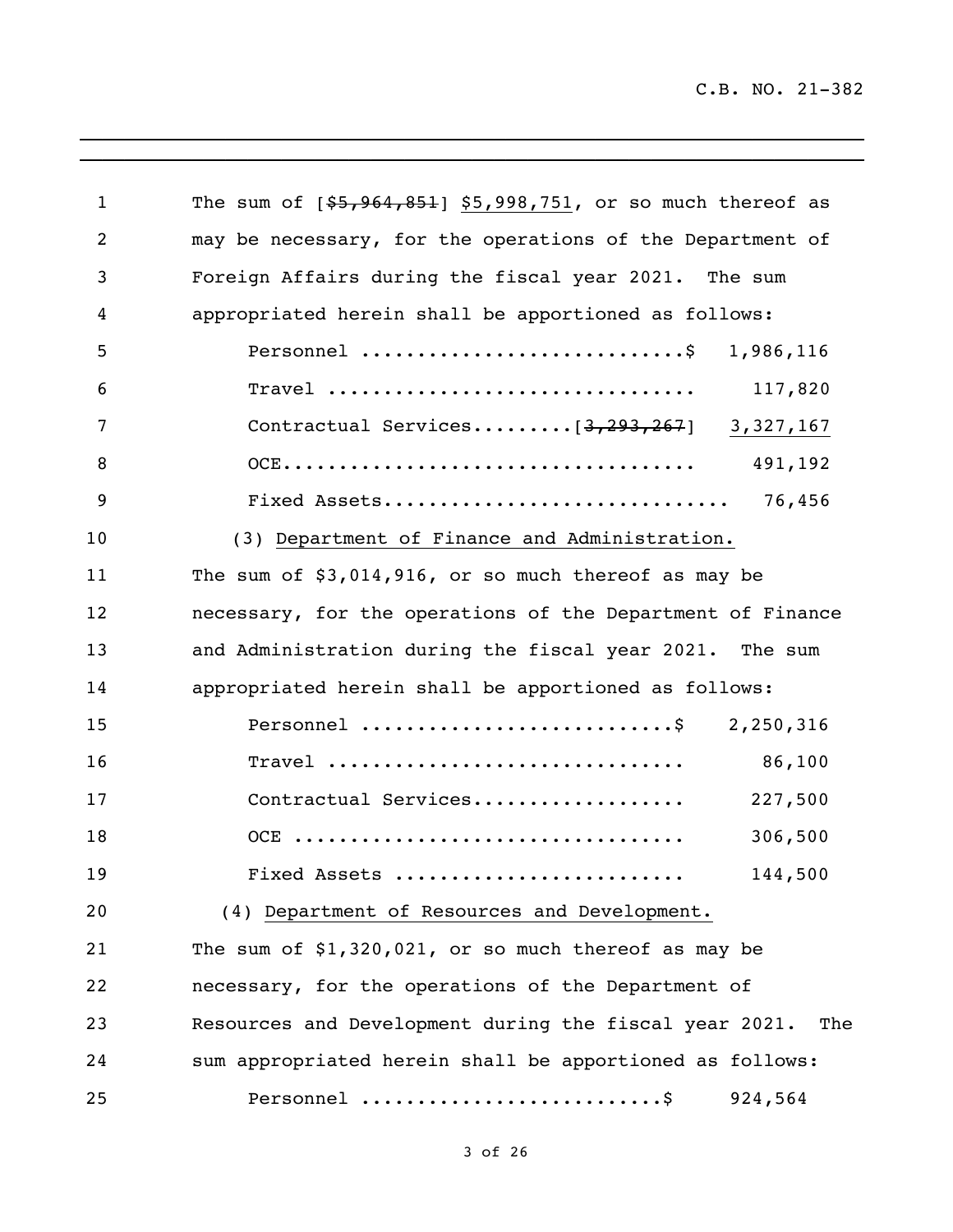$\mathcal{L}_\text{max} = \mathcal{L}_\text{max} = \mathcal{L}_\text{max} = \mathcal{L}_\text{max} = \mathcal{L}_\text{max} = \mathcal{L}_\text{max} = \mathcal{L}_\text{max} = \mathcal{L}_\text{max} = \mathcal{L}_\text{max} = \mathcal{L}_\text{max} = \mathcal{L}_\text{max} = \mathcal{L}_\text{max} = \mathcal{L}_\text{max} = \mathcal{L}_\text{max} = \mathcal{L}_\text{max} = \mathcal{L}_\text{max} = \mathcal{L}_\text{max} = \mathcal{L}_\text{max} = \mathcal{$ 

| $\mathbf{1}$ | The sum of $[$5,964,851]$ \$5,998,751, or so much thereof as  |
|--------------|---------------------------------------------------------------|
| 2            | may be necessary, for the operations of the Department of     |
| 3            | Foreign Affairs during the fiscal year 2021. The sum          |
| 4            | appropriated herein shall be apportioned as follows:          |
| 5            | Personnel \$ 1,986,116                                        |
| 6            | 117,820                                                       |
| 7            | Contractual Services $[3, 293, 267]$ 3, 327, 167              |
| 8            | 491,192                                                       |
| 9            |                                                               |
| 10           | (3) Department of Finance and Administration.                 |
| 11           | The sum of $$3,014,916$ , or so much thereof as may be        |
| 12           | necessary, for the operations of the Department of Finance    |
| 13           | and Administration during the fiscal year 2021. The sum       |
| 14           | appropriated herein shall be apportioned as follows:          |
| 15           | Personnel \$ 2,250,316                                        |
| 16           | $\texttt{Travel}$<br>86,100                                   |
| 17           | Contractual Services<br>227,500                               |
| 18           | 306,500                                                       |
| 19           | 144,500<br>Fixed Assets                                       |
| 20           | (4) Department of Resources and Development.                  |
| 21           | The sum of $$1,320,021$ , or so much thereof as may be        |
| 22           | necessary, for the operations of the Department of            |
| 23           | Resources and Development during the fiscal year 2021.<br>The |
| 24           | sum appropriated herein shall be apportioned as follows:      |
| 25           | 924,564                                                       |

 $\overline{\phantom{a}}$  ,  $\overline{\phantom{a}}$  ,  $\overline{\phantom{a}}$  ,  $\overline{\phantom{a}}$  ,  $\overline{\phantom{a}}$  ,  $\overline{\phantom{a}}$  ,  $\overline{\phantom{a}}$  ,  $\overline{\phantom{a}}$  ,  $\overline{\phantom{a}}$  ,  $\overline{\phantom{a}}$  ,  $\overline{\phantom{a}}$  ,  $\overline{\phantom{a}}$  ,  $\overline{\phantom{a}}$  ,  $\overline{\phantom{a}}$  ,  $\overline{\phantom{a}}$  ,  $\overline{\phantom{a}}$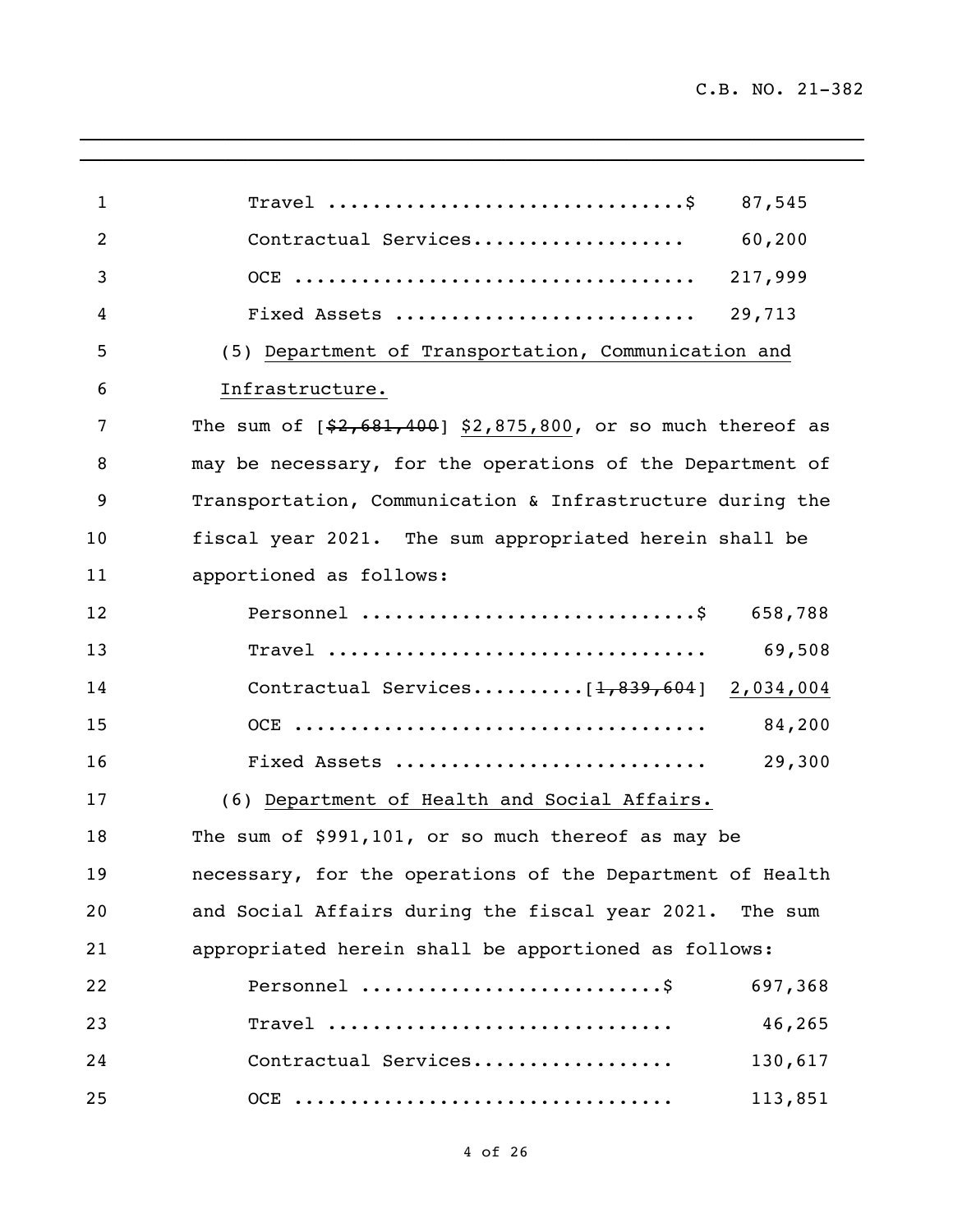| $\mathbf{1}$   | Travel $\dots\dots\dots\dots\dots\dots\dots\dots\dots\dots\dots$<br>87,545 |
|----------------|----------------------------------------------------------------------------|
| $\overline{2}$ | Contractual Services<br>60,200                                             |
| 3              | 217,999                                                                    |
| 4              | 29,713<br>Fixed Assets                                                     |
| 5              | (5) Department of Transportation, Communication and                        |
| 6              | Infrastructure.                                                            |
| 7              | The sum of $[$2,681,400]$ \$2,875,800, or so much thereof as               |
| 8              | may be necessary, for the operations of the Department of                  |
| 9              | Transportation, Communication & Infrastructure during the                  |
| 10             | fiscal year 2021. The sum appropriated herein shall be                     |
| 11             | apportioned as follows:                                                    |
| 12             | Personnel \$ 658,788                                                       |
| 13             | 69,508                                                                     |
| 14             | Contractual Services $[1, 839, 604]$ 2,034,004                             |
| 15             | 84,200                                                                     |
| 16             | Fixed Assets<br>29,300                                                     |
| 17             | (6) Department of Health and Social Affairs.                               |
| 18             | The sum of \$991,101, or so much thereof as may be                         |
| 19             | necessary, for the operations of the Department of Health                  |
| 20             | and Social Affairs during the fiscal year 2021. The sum                    |
| 21             | appropriated herein shall be apportioned as follows:                       |
| 22             | Personnel<br>697,368                                                       |
| 23             | 46,265<br>Travel                                                           |
| 24             | Contractual Services<br>130,617                                            |
| 25             | 113,851                                                                    |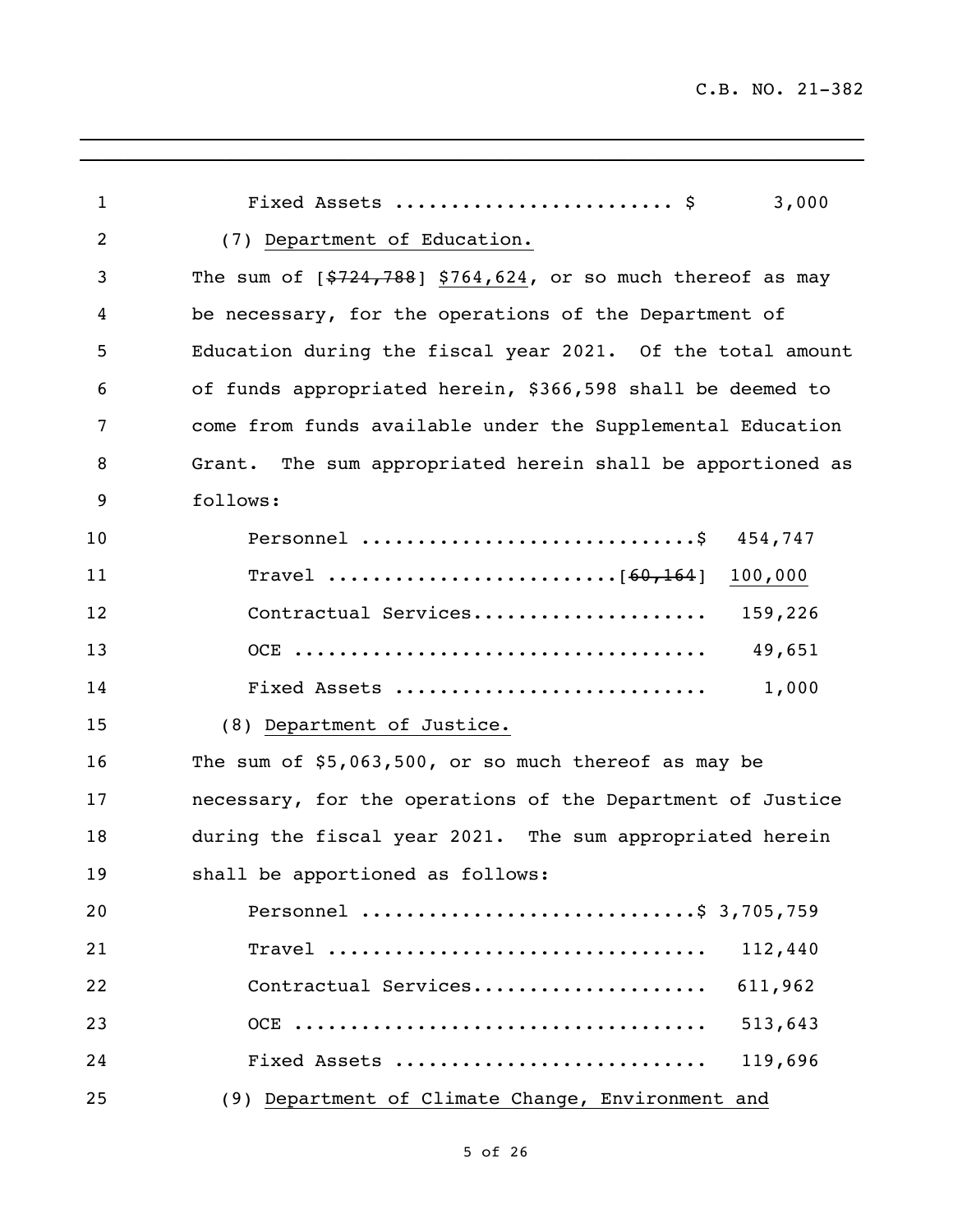| 1  | Fixed Assets  \$<br>3,000                                                                              |
|----|--------------------------------------------------------------------------------------------------------|
| 2  | (7) Department of Education.                                                                           |
| 3  | The sum of $[$724,788]$ \$764,624, or so much thereof as may                                           |
| 4  | be necessary, for the operations of the Department of                                                  |
| 5  | Education during the fiscal year 2021. Of the total amount                                             |
| 6  | of funds appropriated herein, \$366,598 shall be deemed to                                             |
| 7  | come from funds available under the Supplemental Education                                             |
| 8  | Grant. The sum appropriated herein shall be apportioned as                                             |
| 9  | follows:                                                                                               |
| 10 | 454,747                                                                                                |
| 11 | 100,000                                                                                                |
| 12 | Contractual Services 159,226                                                                           |
| 13 | 49,651                                                                                                 |
| 14 | 1,000<br>Fixed Assets                                                                                  |
| 15 | (8) Department of Justice.                                                                             |
| 16 | The sum of $$5,063,500$ , or so much thereof as may be                                                 |
| 17 | necessary, for the operations of the Department of Justice                                             |
| 18 | during the fiscal year 2021. The sum appropriated herein                                               |
| 19 | shall be apportioned as follows:                                                                       |
| 20 | Personnel \$ 3,705,759                                                                                 |
| 21 | 112,440<br>$\texttt{Trace1}\n \dots \dots \dots \dots \dots \dots \dots \dots \dots \dots \dots \dots$ |
| 22 | Contractual Services<br>611,962                                                                        |
| 23 | 513,643                                                                                                |
| 24 | 119,696<br>Fixed Assets                                                                                |
| 25 | (9) Department of Climate Change, Environment and                                                      |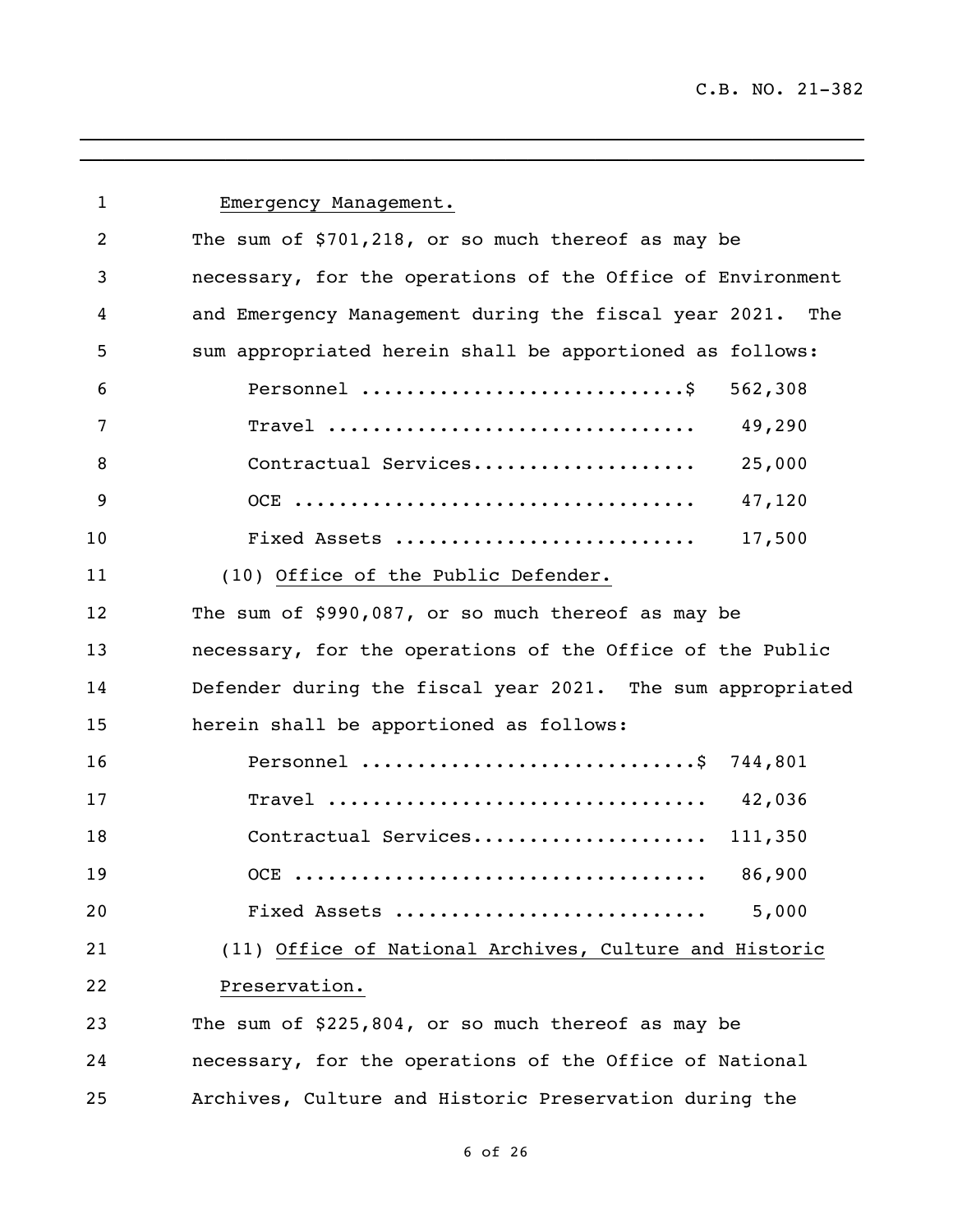| 1  | Emergency Management.                                                                         |
|----|-----------------------------------------------------------------------------------------------|
| 2  | The sum of \$701,218, or so much thereof as may be                                            |
| 3  | necessary, for the operations of the Office of Environment                                    |
| 4  | and Emergency Management during the fiscal year 2021.<br>The                                  |
| 5  | sum appropriated herein shall be apportioned as follows:                                      |
| 6  | 562,308                                                                                       |
| 7  | $\texttt{Trace1}\texttt{ } \ldots \ldots \ldots \ldots \ldots \ldots \ldots \ldots$<br>49,290 |
| 8  | Contractual Services<br>25,000                                                                |
| 9  | 47,120                                                                                        |
| 10 | 17,500<br>Fixed Assets                                                                        |
| 11 | (10) Office of the Public Defender.                                                           |
| 12 | The sum of \$990,087, or so much thereof as may be                                            |
| 13 | necessary, for the operations of the Office of the Public                                     |
| 14 | Defender during the fiscal year 2021. The sum appropriated                                    |
| 15 | herein shall be apportioned as follows:                                                       |
| 16 | Personnel \$ 744,801                                                                          |
| 17 | Travel  42,036                                                                                |
| 18 | Contractual Services<br>111,350                                                               |
| 19 | 86,900                                                                                        |
| 20 | 5,000<br>Fixed Assets                                                                         |
| 21 | (11) Office of National Archives, Culture and Historic                                        |
| 22 | Preservation.                                                                                 |
| 23 | The sum of \$225,804, or so much thereof as may be                                            |
| 24 | necessary, for the operations of the Office of National                                       |
| 25 | Archives, Culture and Historic Preservation during the                                        |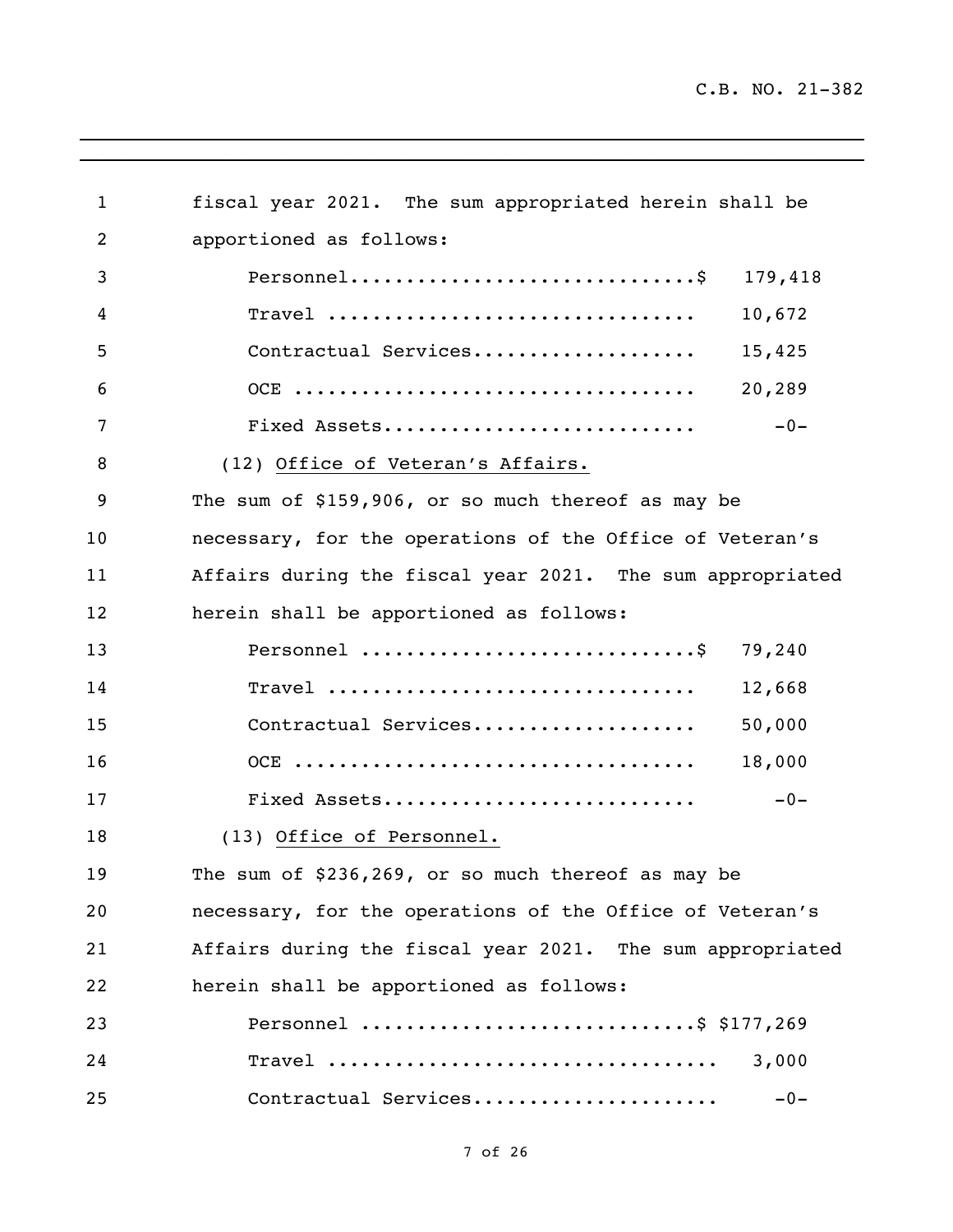| $\mathbf{1}$ | fiscal year 2021. The sum appropriated herein shall be    |
|--------------|-----------------------------------------------------------|
| 2            | apportioned as follows:                                   |
| 3            | 179,418                                                   |
| 4            | 10,672<br>Travel                                          |
| 5            | Contractual Services<br>15,425                            |
| 6            | 20,289                                                    |
| 7            | $-0-$<br>Fixed Assets                                     |
| 8            | (12) Office of Veteran's Affairs.                         |
| 9            | The sum of \$159,906, or so much thereof as may be        |
| 10           | necessary, for the operations of the Office of Veteran's  |
| 11           | Affairs during the fiscal year 2021. The sum appropriated |
| 12           | herein shall be apportioned as follows:                   |
| 13           | 79,240                                                    |
| 14           | $\texttt{Travel}$<br>12,668                               |
| 15           | Contractual Services<br>50,000                            |
| 16           | 18,000                                                    |
| 17           | Fixed Assets<br>$-0-$                                     |
| 18           | (13) Office of Personnel.                                 |
| 19           | The sum of \$236,269, or so much thereof as may be        |
| 20           | necessary, for the operations of the Office of Veteran's  |
| 21           | Affairs during the fiscal year 2021. The sum appropriated |
| 22           | herein shall be apportioned as follows:                   |
| 23           | Personnel \$ \$177,269                                    |
| 24           | 3,000                                                     |
| 25           | Contractual Services<br>$-0-$                             |

 $\mathcal{L}_\mathcal{L} = \mathcal{L}_\mathcal{L} = \mathcal{L}_\mathcal{L} = \mathcal{L}_\mathcal{L} = \mathcal{L}_\mathcal{L} = \mathcal{L}_\mathcal{L} = \mathcal{L}_\mathcal{L} = \mathcal{L}_\mathcal{L} = \mathcal{L}_\mathcal{L} = \mathcal{L}_\mathcal{L} = \mathcal{L}_\mathcal{L} = \mathcal{L}_\mathcal{L} = \mathcal{L}_\mathcal{L} = \mathcal{L}_\mathcal{L} = \mathcal{L}_\mathcal{L} = \mathcal{L}_\mathcal{L} = \mathcal{L}_\mathcal{L}$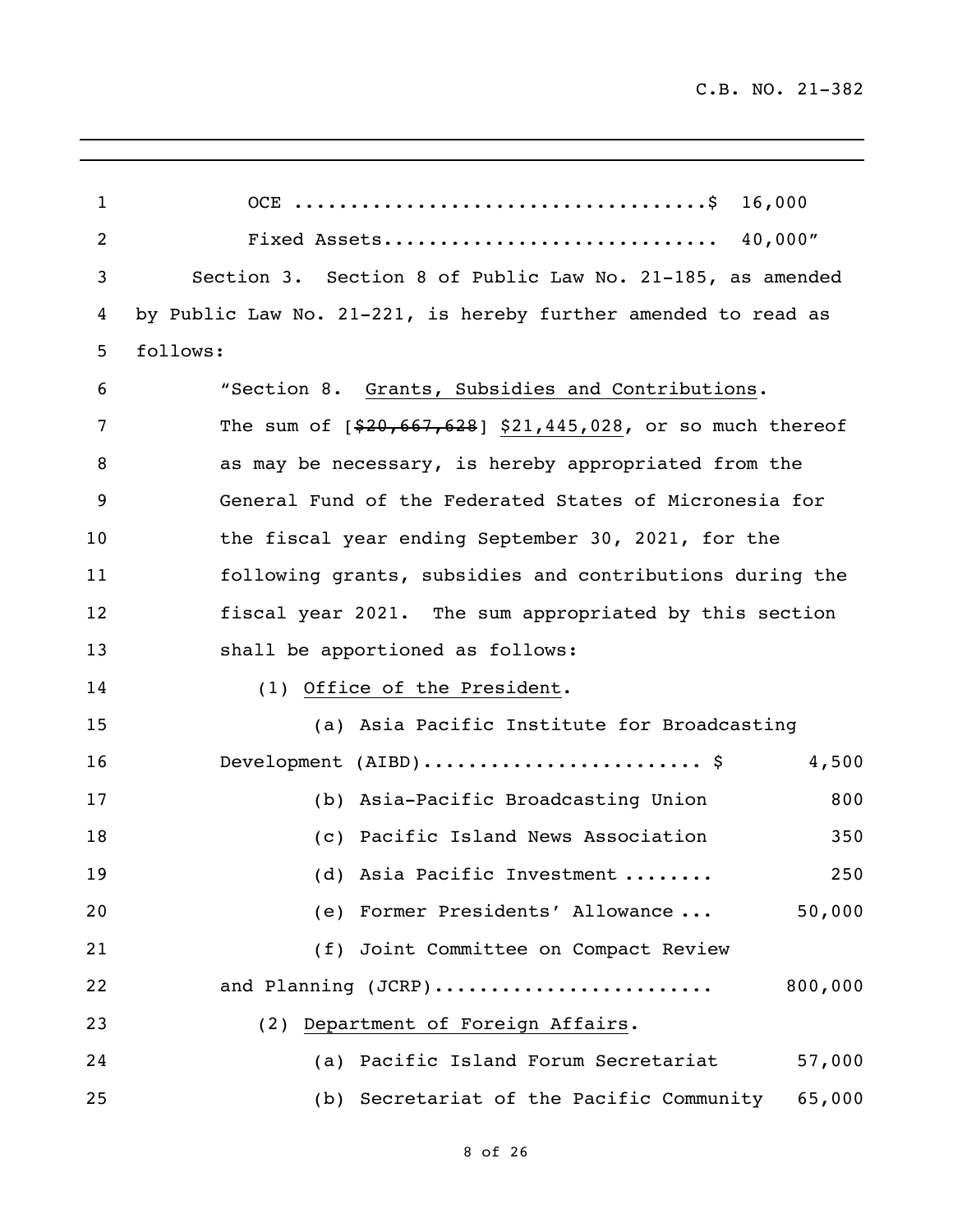| $\mathbf 1$    |                                                                                |
|----------------|--------------------------------------------------------------------------------|
| $\overline{2}$ |                                                                                |
| 3              | Section 3. Section 8 of Public Law No. 21-185, as amended                      |
| 4              | by Public Law No. 21-221, is hereby further amended to read as                 |
| 5              | follows:                                                                       |
| 6              | "Section 8. Grants, Subsidies and Contributions.                               |
| 7              | The sum of $[$20,667,628]$ \$21,445,028, or so much thereof                    |
| 8              | as may be necessary, is hereby appropriated from the                           |
| 9              | General Fund of the Federated States of Micronesia for                         |
| 10             | the fiscal year ending September 30, 2021, for the                             |
| 11             | following grants, subsidies and contributions during the                       |
| 12             | fiscal year 2021. The sum appropriated by this section                         |
| 13             | shall be apportioned as follows:                                               |
| 14             | (1) Office of the President.                                                   |
| 15             | (a) Asia Pacific Institute for Broadcasting                                    |
| 16             | Development $(AIBD) \ldots \ldots \ldots \ldots \ldots \ldots \ldots$<br>4,500 |
| 17             | (b) Asia-Pacific Broadcasting Union<br>800                                     |
| 18             | Pacific Island News Association<br>350<br>(C)                                  |
| 19             | 250<br>(d) Asia Pacific Investment                                             |
| 20             | 50,000<br>(e) Former Presidents' Allowance                                     |
| 21             | (f) Joint Committee on Compact Review                                          |
| 22             | and Planning (JCRP)<br>800,000                                                 |
| 23             | (2) Department of Foreign Affairs.                                             |
| 24             | (a) Pacific Island Forum Secretariat<br>57,000                                 |
| 25             | (b) Secretariat of the Pacific Community<br>65,000                             |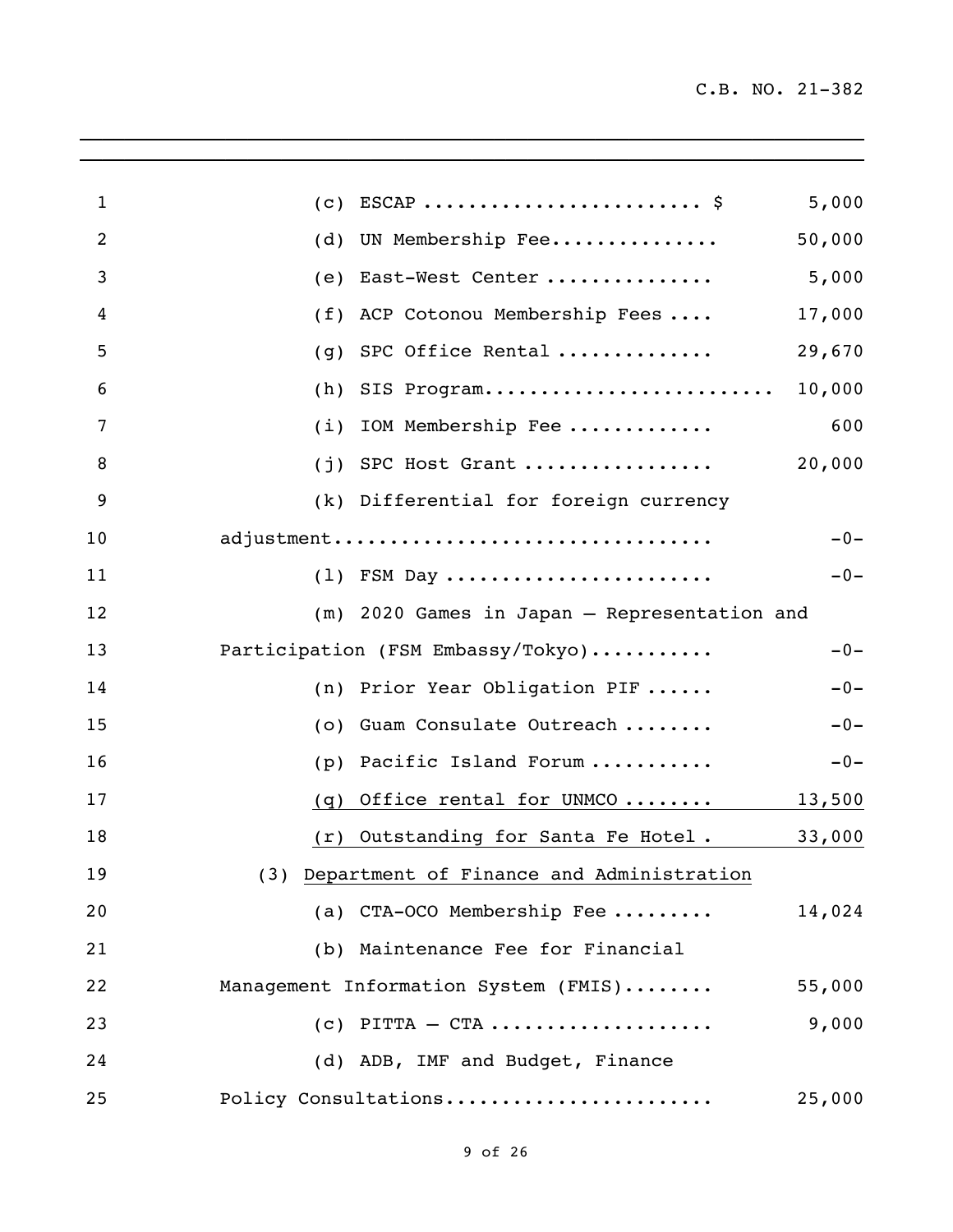| $\mathbf{1}$   | (c)                                          | 5,000  |
|----------------|----------------------------------------------|--------|
| $\overline{2}$ | UN Membership Fee<br>(d)                     | 50,000 |
| 3              | East-West Center<br>(e)                      | 5,000  |
| 4              | ACP Cotonou Membership Fees<br>(f)           | 17,000 |
| 5              | SPC Office Rental<br>(g)                     | 29,670 |
| 6              | SIS Program<br>(h)                           | 10,000 |
| 7              | IOM Membership Fee<br>(i)                    | 600    |
| 8              | $(j)$ SPC Host Grant                         | 20,000 |
| 9              | (k) Differential for foreign currency        |        |
| 10             | adjustment                                   | $-0-$  |
| 11             | $(1)$ FSM Day                                | $-0-$  |
| 12             | (m) 2020 Games in Japan - Representation and |        |
| 13             | Participation (FSM Embassy/Tokyo)            | $-0-$  |
| 14             | (n) Prior Year Obligation PIF                | $-0-$  |
| 15             | (o) Guam Consulate Outreach                  | $-0-$  |
| 16             | Pacific Island Forum<br>(p)                  | $-0-$  |
| 17             | Office rental for UNMCO<br>(q)               | 13,500 |
| 18             | (r) Outstanding for Santa Fe Hotel.          | 33,000 |
| 19             | (3) Department of Finance and Administration |        |
| 20             | (a) CTA-OCO Membership Fee                   | 14,024 |
| 21             | (b) Maintenance Fee for Financial            |        |
| 22             | Management Information System (FMIS)         | 55,000 |
| 23             | $(c)$ PITTA - CTA                            | 9,000  |
| 24             | (d) ADB, IMF and Budget, Finance             |        |
| 25             | Policy Consultations                         | 25,000 |
|                |                                              |        |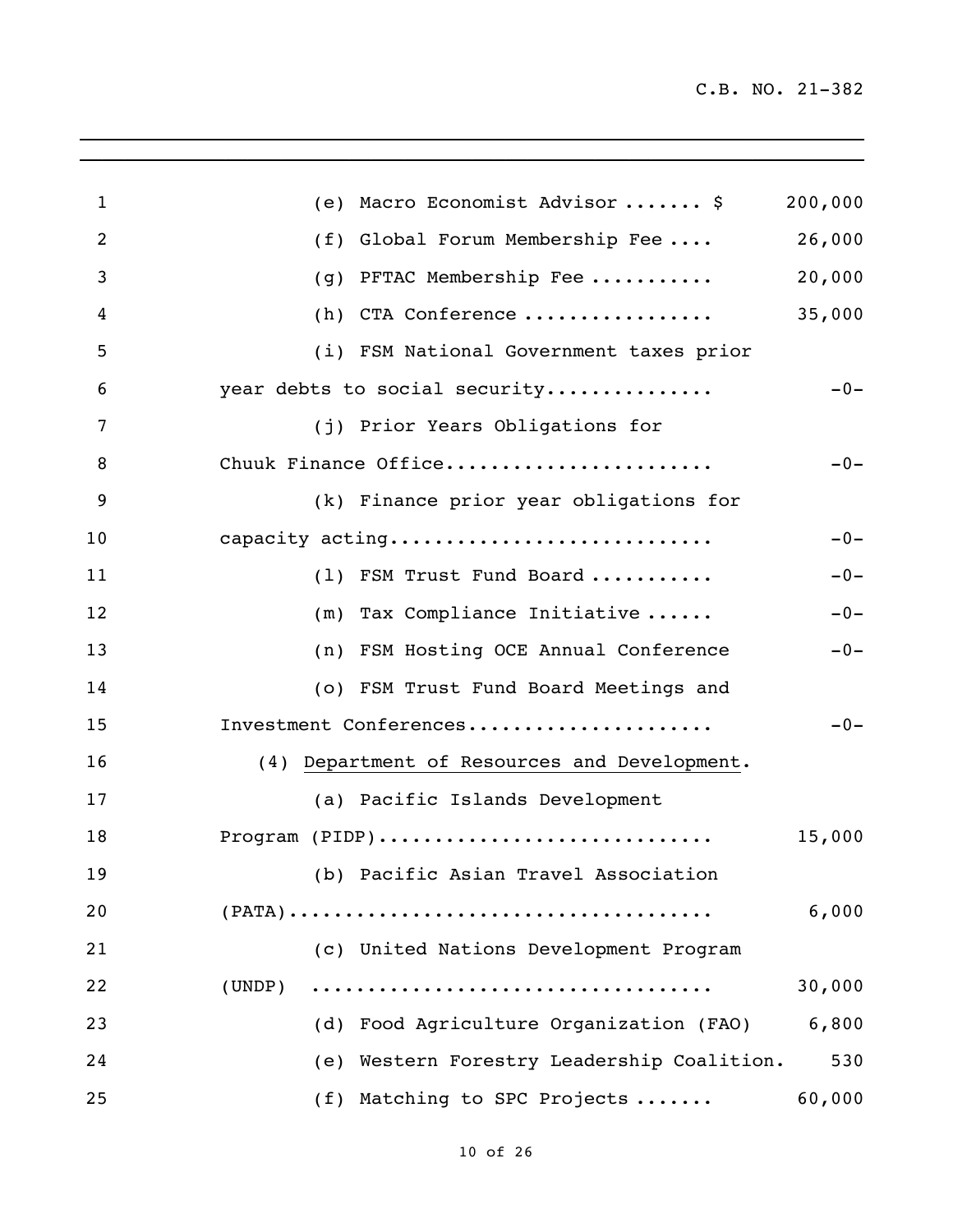C.B. NO. 21-382

| $\mathbf{1}$   | (e) Macro Economist Advisor  \$                                                              | 200,000 |
|----------------|----------------------------------------------------------------------------------------------|---------|
| $\overline{2}$ | (f) Global Forum Membership Fee                                                              | 26,000  |
| 3              | PFTAC Membership Fee<br>(g)                                                                  | 20,000  |
| 4              | (h) CTA Conference                                                                           | 35,000  |
| 5              | (i) FSM National Government taxes prior                                                      |         |
| 6              | year debts to social security                                                                | $-0-$   |
| 7              | (j) Prior Years Obligations for                                                              |         |
| 8              | Chuuk Finance Office                                                                         | $-0-$   |
| 9              | (k) Finance prior year obligations for                                                       |         |
| 10             | capacity acting                                                                              | $-0-$   |
| 11             | (1) FSM Trust Fund Board                                                                     | $-0-$   |
| 12             | $(m)$ Tax Compliance Initiative                                                              | $-0-$   |
| 13             | (n) FSM Hosting OCE Annual Conference                                                        | $-0-$   |
| 14             | (o) FSM Trust Fund Board Meetings and                                                        |         |
| 15             | Investment Conferences                                                                       | $-0-$   |
| 16             | Department of Resources and Development.<br>(4)                                              |         |
| 17             | (a) Pacific Islands Development                                                              |         |
| 18             | Program $(PIDP)$                                                                             | 15,000  |
| 19             | (b) Pacific Asian Travel Association                                                         |         |
| 20             | $(PATA) \dots \dots \dots \dots \dots \dots \dots \dots \dots \dots \dots \dots \dots \dots$ | 6,000   |
| 21             | (c) United Nations Development Program                                                       |         |
| 22             | (UNDP)                                                                                       | 30,000  |
| 23             | (d) Food Agriculture Organization (FAO)                                                      | 6,800   |
| 24             | (e) Western Forestry Leadership Coalition.                                                   | 530     |
| 25             | (f) Matching to SPC Projects                                                                 | 60,000  |

 $\mathcal{L}_\mathcal{L}$  , and the set of the set of the set of the set of the set of the set of the set of the set of the set of the set of the set of the set of the set of the set of the set of the set of the set of the set of th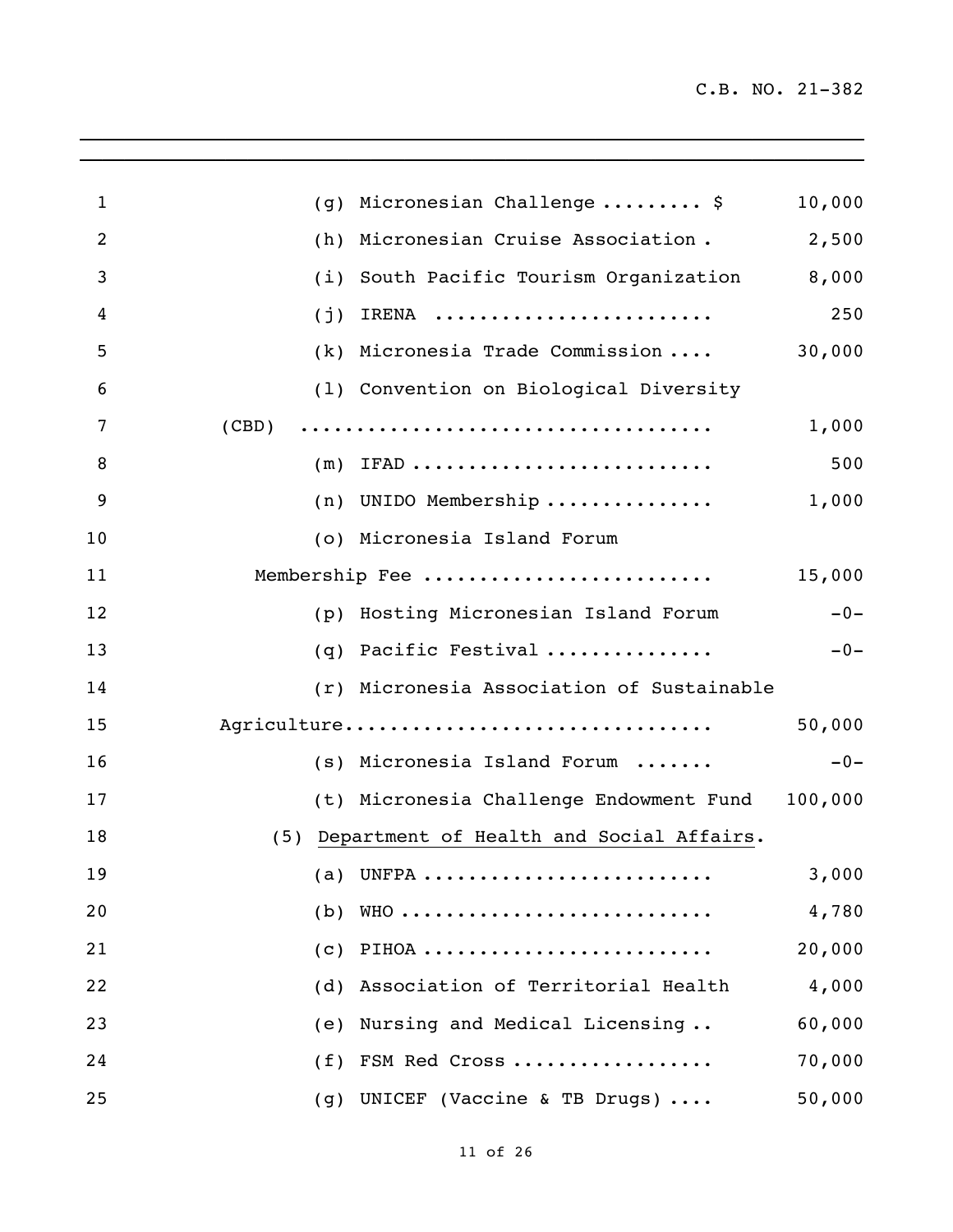| $\mathbf{1}$   | Micronesian Challenge  \$<br>(g)             | 10,000  |
|----------------|----------------------------------------------|---------|
| $\overline{2}$ | Micronesian Cruise Association.<br>(h)       | 2,500   |
| 3              | South Pacific Tourism Organization<br>(i)    | 8,000   |
| 4              | IRENA<br>(j)                                 | 250     |
| 5              | (k) Micronesia Trade Commission              | 30,000  |
| 6              | (1) Convention on Biological Diversity       |         |
| 7              | (CBD)                                        | 1,000   |
| 8              | $(m)$ IFAD                                   | 500     |
| 9              | $(n)$ UNIDO Membership                       | 1,000   |
| 10             | (o) Micronesia Island Forum                  |         |
| 11             | Membership Fee                               | 15,000  |
| 12             | (p) Hosting Micronesian Island Forum         | $-0-$   |
| 13             | (q) Pacific Festival                         | $-0-$   |
| 14             | (r) Micronesia Association of Sustainable    |         |
| 15             | Agriculture                                  | 50,000  |
| 16             | (s) Micronesia Island Forum                  | $-0-$   |
| 17             | (t) Micronesia Challenge Endowment Fund      | 100,000 |
| 18             | (5) Department of Health and Social Affairs. |         |
| 19             | (a) UNFPA                                    | 3,000   |
| 20             | (b) $WHO$                                    | 4,780   |
| 21             | $(c)$ PIHOA                                  | 20,000  |
| 22             | (d) Association of Territorial Health        | 4,000   |
| 23             | (e) Nursing and Medical Licensing            | 60,000  |
| 24             | (f) FSM Red Cross                            | 70,000  |
| 25             | (g) UNICEF (Vaccine & TB Drugs)              | 50,000  |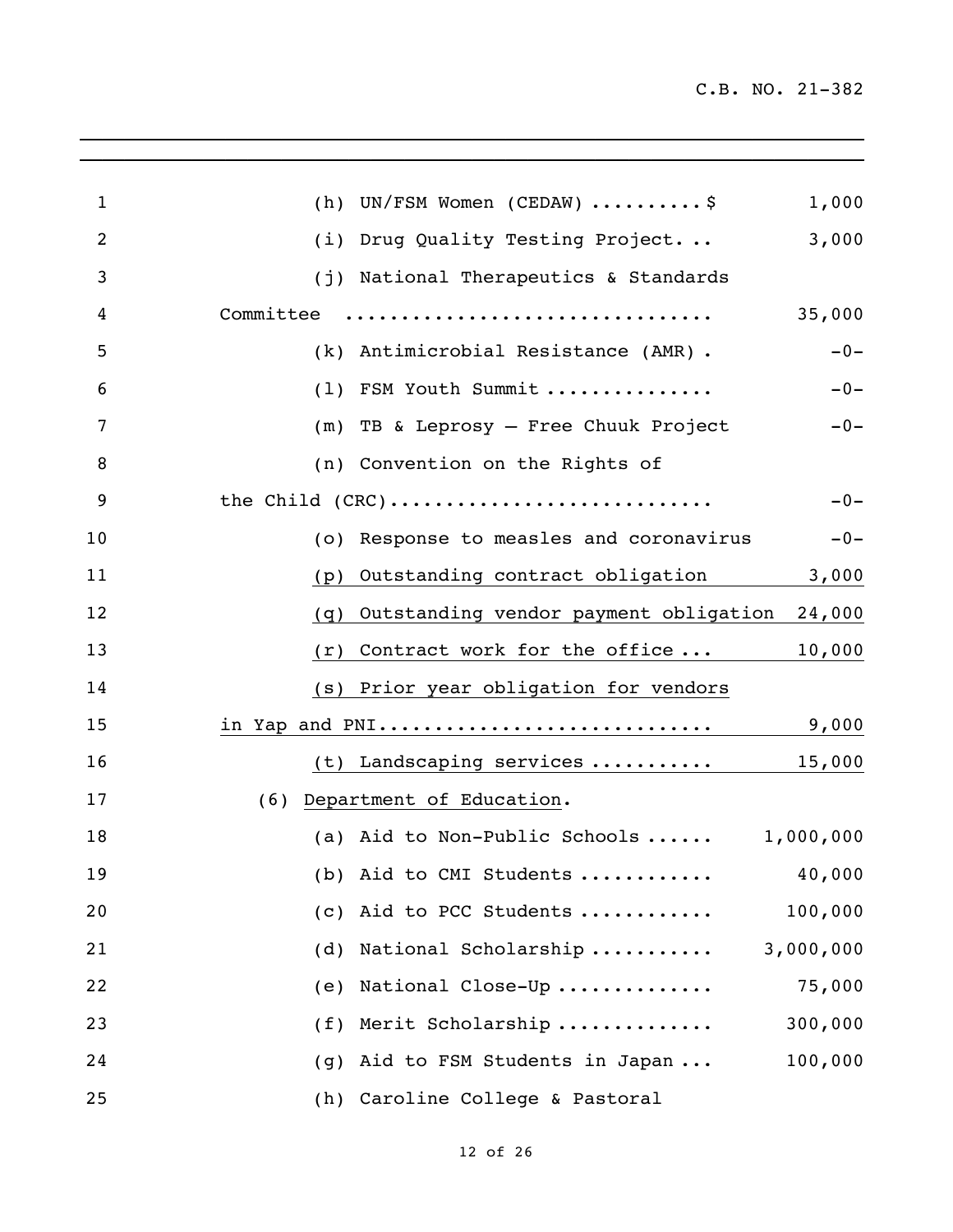C.B. NO. 21-382

| $\mathbf{1}$   | (h) UN/FSM Women (CEDAW) $\ldots \ldots \ldots$ \$<br>1,000 |
|----------------|-------------------------------------------------------------|
| $\overline{2}$ | 3,000<br>(i) Drug Quality Testing Project                   |
| 3              | (j) National Therapeutics & Standards                       |
| 4              | Committee<br>35,000                                         |
| 5              | (k) Antimicrobial Resistance (AMR).<br>$-0-$                |
| 6              | (1) FSM Youth Summit<br>$-0-$                               |
| 7              | (m) TB & Leprosy - Free Chuuk Project<br>$-0-$              |
| 8              | (n) Convention on the Rights of                             |
| 9              | the Child (CRC)<br>$-0-$                                    |
| 10             | (o) Response to measles and coronavirus<br>$-0-$            |
| 11             | Outstanding contract obligation<br>3,000<br>(p)             |
| 12             | (q) Outstanding vendor payment obligation 24,000            |
| 13             | 10,000<br>$(r)$ Contract work for the office                |
| 14             | (s) Prior year obligation for vendors                       |
| 15             | in Yap and PNI<br>9,000                                     |
| 16             | (t) Landscaping services<br>15,000                          |
| 17             | (6) Department of Education.                                |
| 18             | (a) Aid to Non-Public Schools $1,000,000$                   |
| 19             | (b) Aid to CMI Students $40,000$                            |
| 20             | (c) Aid to PCC Students<br>100,000                          |
| 21             | (d) National Scholarship<br>3,000,000                       |
| 22             | (e) National Close-Up<br>75,000                             |
| 23             | (f) Merit Scholarship<br>300,000                            |
| 24             | (g) Aid to FSM Students in Japan<br>100,000                 |
| 25             | (h) Caroline College & Pastoral                             |

\_\_\_\_\_\_\_\_\_\_\_\_\_\_\_\_\_\_\_\_\_\_\_\_\_\_\_\_\_\_\_\_\_\_\_\_\_\_\_\_\_\_\_\_\_\_\_\_\_\_\_\_\_\_\_\_\_\_\_\_\_\_\_\_\_\_\_\_\_\_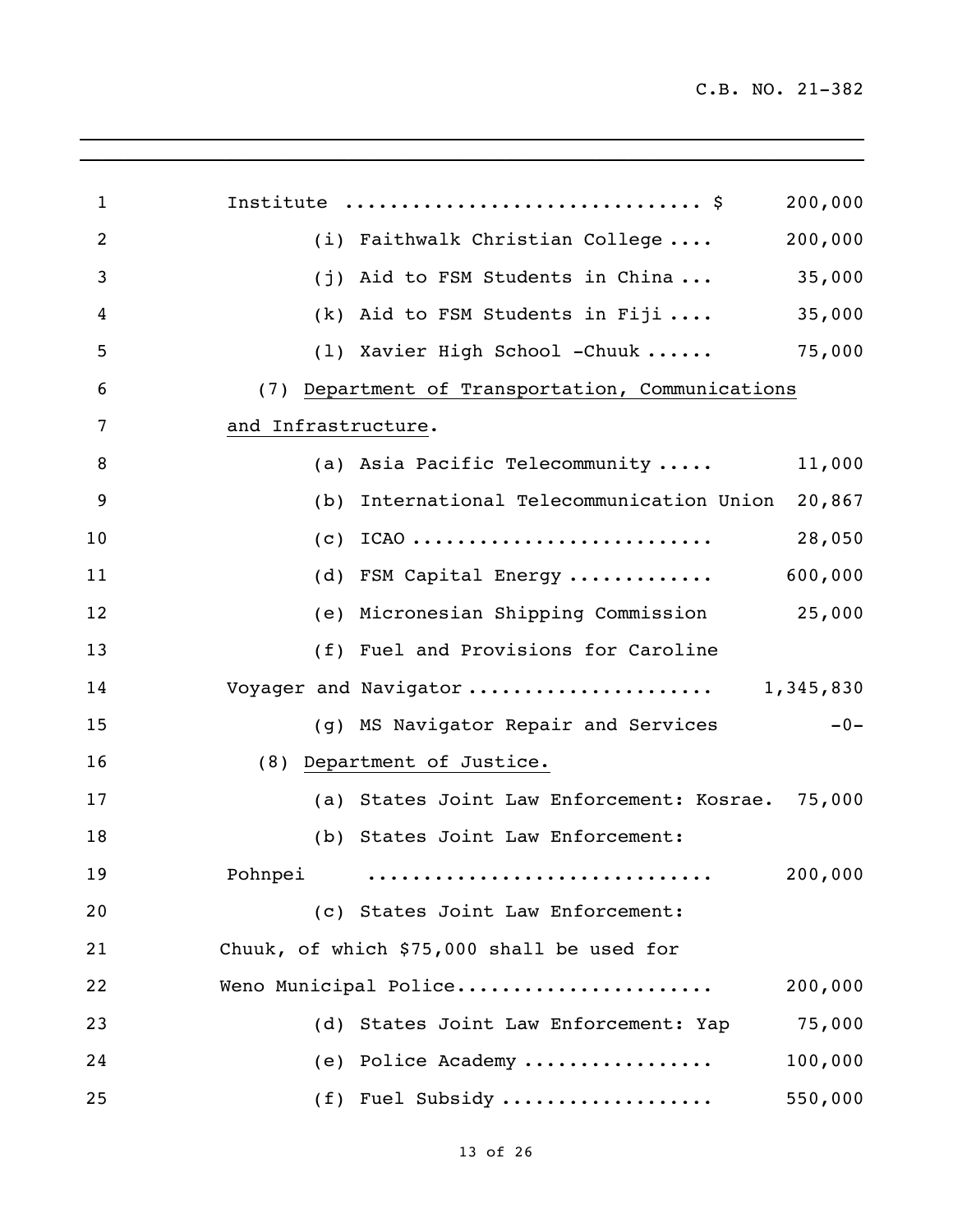| $\mathbf{1}$   | Institute  \$<br>200,000                            |
|----------------|-----------------------------------------------------|
| $\overline{2}$ | (i) Faithwalk Christian College<br>200,000          |
| 3              | 35,000<br>(j) Aid to FSM Students in China          |
| 4              | 35,000<br>$(k)$ Aid to FSM Students in Fiji         |
| 5              | (1) Xavier High School -Chuuk<br>75,000             |
| 6              | (7) Department of Transportation, Communications    |
| 7              | and Infrastructure.                                 |
| 8              | (a) Asia Pacific Telecommunity<br>11,000            |
| 9              | (b) International Telecommunication Union<br>20,867 |
| 10             | $(c)$ ICAO<br>28,050                                |
| 11             | 600,000<br>(d) FSM Capital Energy                   |
| 12             | (e) Micronesian Shipping Commission<br>25,000       |
| 13             | (f) Fuel and Provisions for Caroline                |
| 14             | Voyager and Navigator  1,345,830                    |
| 15             | (g) MS Navigator Repair and Services<br>$-0-$       |
| 16             | (8) Department of Justice.                          |
| 17             | (a) States Joint Law Enforcement: Kosrae.<br>75,000 |
| 18             | (b) States Joint Law Enforcement:                   |
| 19             | Pohnpei<br>200,000                                  |
| 20             | (c) States Joint Law Enforcement:                   |
| 21             | Chuuk, of which \$75,000 shall be used for          |
| 22             | Weno Municipal Police<br>200,000                    |
| 23             | (d) States Joint Law Enforcement: Yap<br>75,000     |
| 24             | (e) Police Academy<br>100,000                       |
| 25             | (f) Fuel Subsidy<br>550,000                         |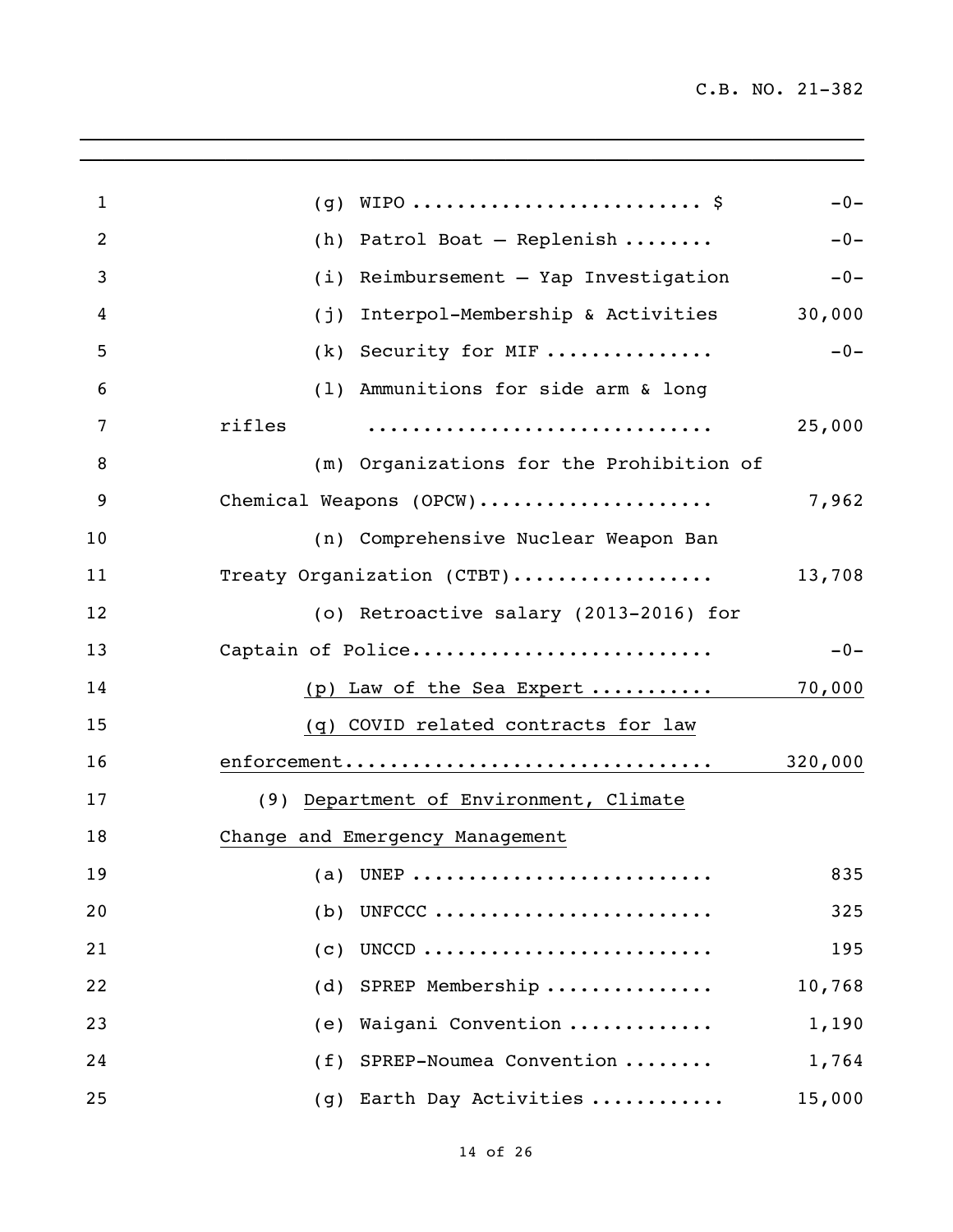| $\mathbf{1}$   | $(g)$ WIPO \$                            | $-0-$   |
|----------------|------------------------------------------|---------|
| $\overline{2}$ | Patrol Boat - Replenish<br>(h)           | $-0-$   |
| 3              | (i)<br>Reimbursement - Yap Investigation | $-0-$   |
| 4              | Interpol-Membership & Activities<br>(j)  | 30,000  |
| 5              | Security for MIF<br>(k)                  | $-0-$   |
| 6              | (1) Ammunitions for side arm & long      |         |
| 7              | rifles                                   | 25,000  |
| 8              | (m) Organizations for the Prohibition of |         |
| 9              | Chemical Weapons (OPCW)                  | 7,962   |
| 10             | (n) Comprehensive Nuclear Weapon Ban     |         |
| 11             | Treaty Organization (CTBT)               | 13,708  |
| 12             | (o) Retroactive salary (2013-2016) for   |         |
| 13             | Captain of Police                        | $-0-$   |
| 14             | (p) Law of the Sea Expert                | 70,000  |
| 15             | (q) COVID related contracts for law      |         |
| 16             | enforcement                              | 320,000 |
| 17             | (9) Department of Environment, Climate   |         |
| 18             | Change and Emergency Management          |         |
| 19             | (a) UNEP                                 | 835     |
| 20             | UNFCCC<br>(b)                            | 325     |
| 21             | UNCCD<br>(c)                             | 195     |
| 22             | (d) SPREP Membership                     | 10,768  |
| 23             | Waigani Convention<br>(e)                | 1,190   |
| 24             | (f) SPREP-Noumea Convention              | 1,764   |
| 25             | (g) Earth Day Activities                 | 15,000  |
|                |                                          |         |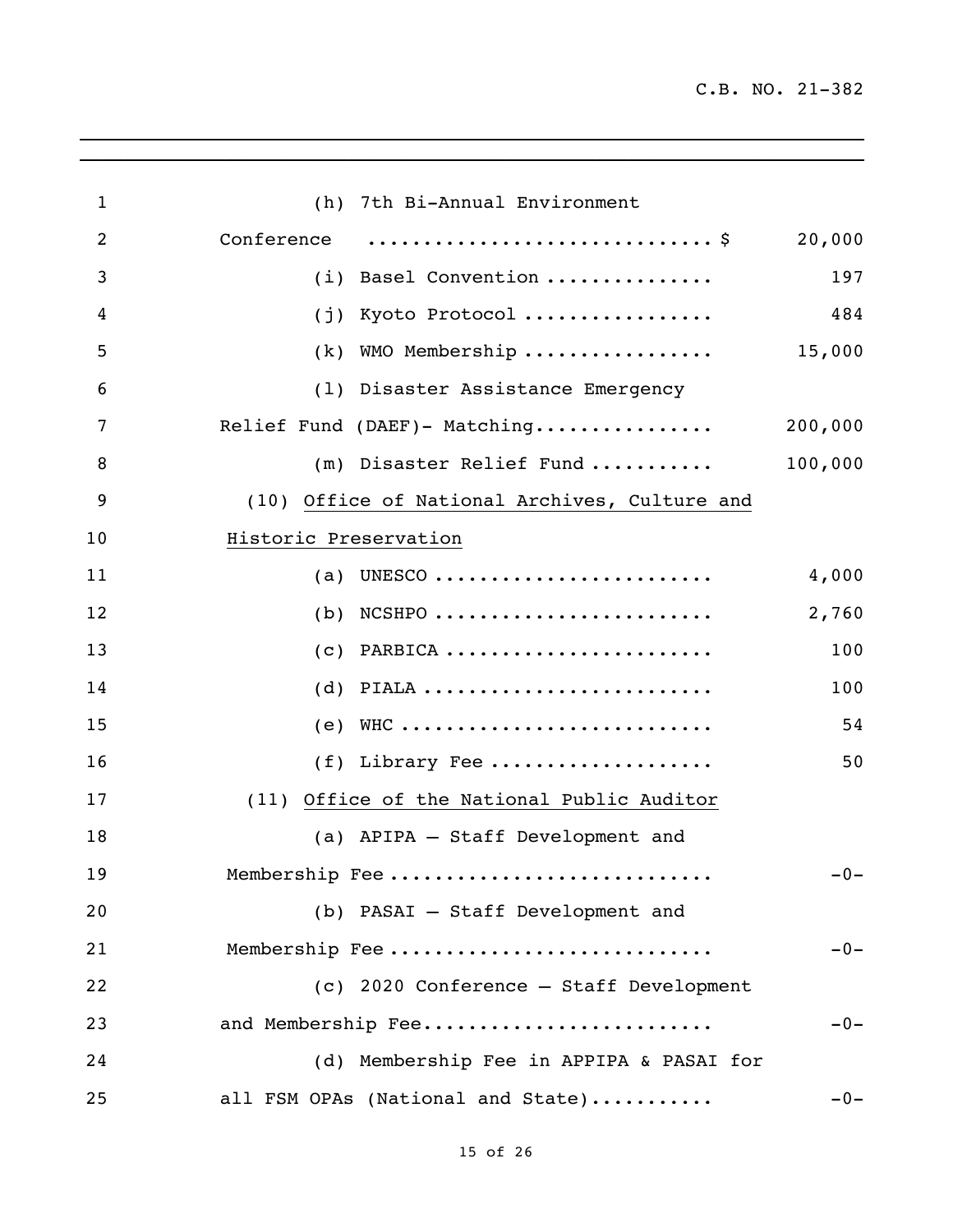| 1  | (h) 7th Bi-Annual Environment                 |         |
|----|-----------------------------------------------|---------|
| 2  | Conference                                    | 20,000  |
| 3  | (i) Basel Convention                          | 197     |
| 4  | Kyoto Protocol<br>(j)                         | 484     |
| 5  | WMO Membership<br>(k)                         | 15,000  |
| 6  | (1) Disaster Assistance Emergency             |         |
| 7  | Relief Fund (DAEF)- Matching                  | 200,000 |
| 8  | (m) Disaster Relief Fund                      | 100,000 |
| 9  | (10) Office of National Archives, Culture and |         |
| 10 | Historic Preservation                         |         |
| 11 | (a) UNESCO                                    | 4,000   |
| 12 | $NCSHPO$<br>(b)                               | 2,760   |
| 13 | PARBICA<br>(C)                                | 100     |
| 14 | $(d)$ PIALA                                   | 100     |
| 15 | $(e)$ WHC                                     | 54      |
| 16 | (f) Library Fee                               | 50      |
| 17 | Office of the National Public Auditor<br>(11) |         |
| 18 | (a) APIPA - Staff Development and             |         |
| 19 | Membership Fee                                | $-0-$   |
| 20 | (b) PASAI - Staff Development and             |         |
| 21 | Membership Fee                                | $-0-$   |
| 22 | (c) 2020 Conference - Staff Development       |         |
| 23 | and Membership Fee                            | $-0-$   |
| 24 | (d) Membership Fee in APPIPA & PASAI for      |         |
| 25 | all FSM OPAs (National and State)             | $-0-$   |

 $\mathcal{L}_\mathcal{L}$  , and the set of the set of the set of the set of the set of the set of the set of the set of the set of the set of the set of the set of the set of the set of the set of the set of the set of the set of th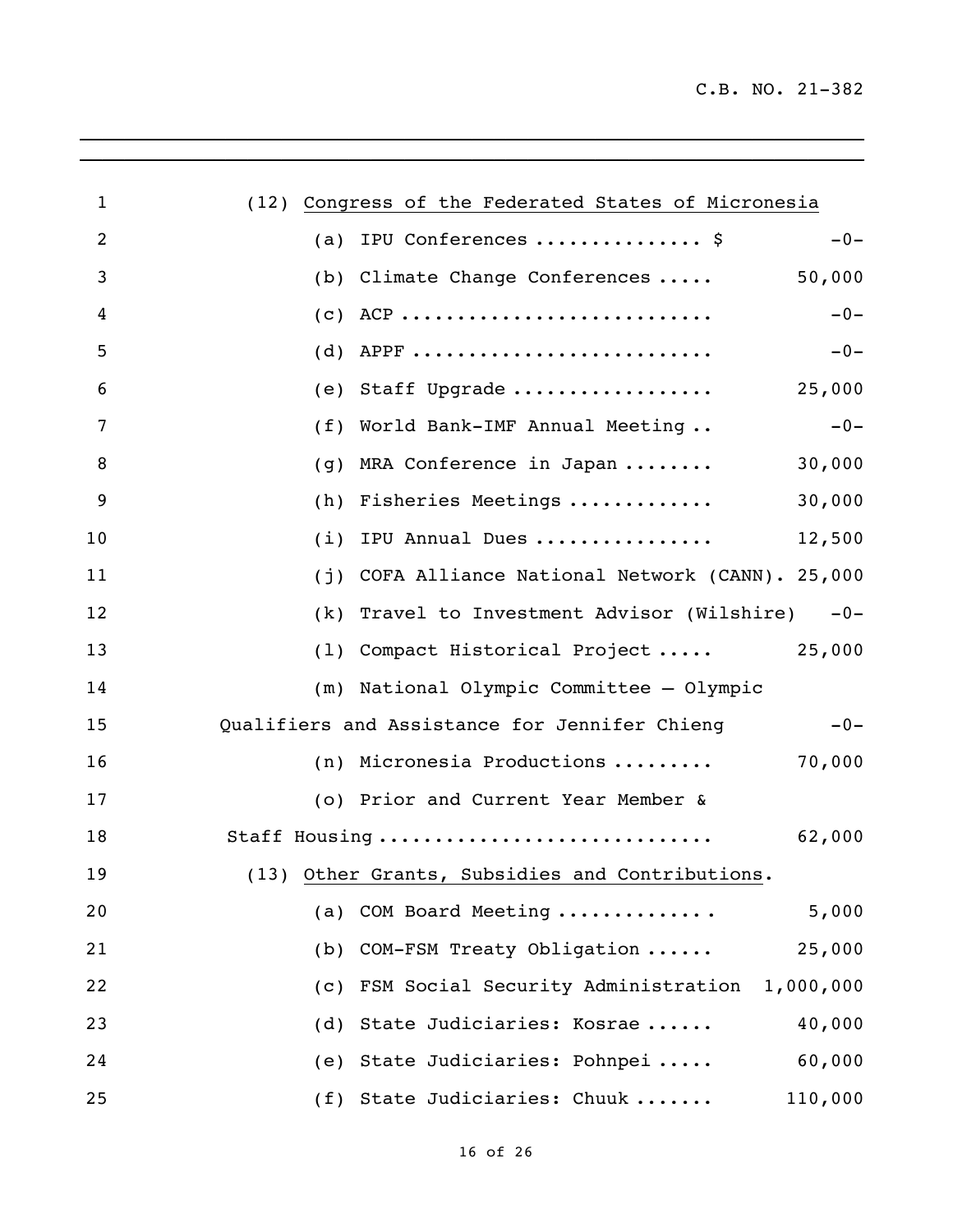C.B. NO. 21-382

| $\mathbf{1}$   | (12) Congress of the Federated States of Micronesia    |
|----------------|--------------------------------------------------------|
| $\overline{2}$ | IPU Conferences  \$<br>$-0-$<br>(a)                    |
| 3              | 50,000<br>(b) Climate Change Conferences               |
| 4              | $-0-$                                                  |
| 5              | $(d)$ APPF<br>$-0-$                                    |
| 6              | (e) Staff Upgrade<br>25,000                            |
| 7              | World Bank-IMF Annual Meeting<br>$-0-$<br>(f)          |
| 8              | MRA Conference in Japan<br>30,000<br>(g)               |
| 9              | 30,000<br>Fisheries Meetings<br>(h)                    |
| 10             | 12,500<br>IPU Annual Dues<br>(i)                       |
| 11             | (j) COFA Alliance National Network (CANN). 25,000      |
| 12             | (k) Travel to Investment Advisor (Wilshire) -0-        |
| 13             | (1) Compact Historical Project  25,000                 |
| 14             | (m) National Olympic Committee - Olympic               |
| 15             | Qualifiers and Assistance for Jennifer Chieng<br>$-0-$ |
| 16             | (n) Micronesia Productions<br>70,000                   |
| 17             | (o) Prior and Current Year Member &                    |
| 18             | Staff Housing<br>62,000                                |
| 19             | (13) Other Grants, Subsidies and Contributions.        |
| 20             | 5,000<br>(a) COM Board Meeting                         |
| 21             | (b) COM-FSM Treaty Obligation<br>25,000                |
| 22             | (c) FSM Social Security Administration 1,000,000       |
| 23             | (d) State Judiciaries: Kosrae<br>40,000                |
| 24             | (e) State Judiciaries: Pohnpei<br>60,000               |
| 25             | (f) State Judiciaries: Chuuk<br>110,000                |

 $\mathcal{L}_\mathcal{L} = \mathcal{L}_\mathcal{L} = \mathcal{L}_\mathcal{L} = \mathcal{L}_\mathcal{L} = \mathcal{L}_\mathcal{L} = \mathcal{L}_\mathcal{L} = \mathcal{L}_\mathcal{L} = \mathcal{L}_\mathcal{L} = \mathcal{L}_\mathcal{L} = \mathcal{L}_\mathcal{L} = \mathcal{L}_\mathcal{L} = \mathcal{L}_\mathcal{L} = \mathcal{L}_\mathcal{L} = \mathcal{L}_\mathcal{L} = \mathcal{L}_\mathcal{L} = \mathcal{L}_\mathcal{L} = \mathcal{L}_\mathcal{L}$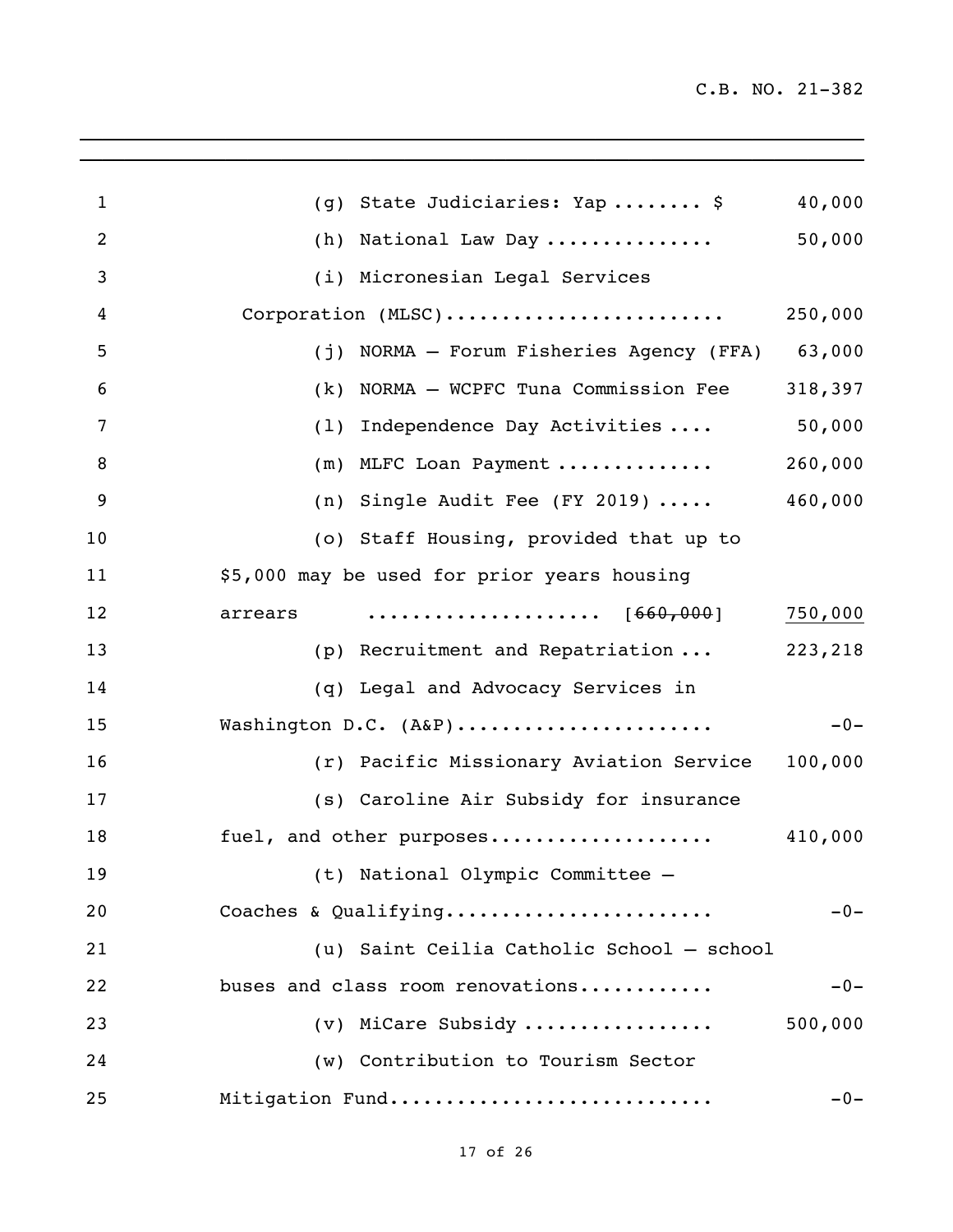| 1              | (g) State Judiciaries: Yap  \$<br>40,000                                                  |
|----------------|-------------------------------------------------------------------------------------------|
| $\overline{2}$ | 50,000<br>(h) National Law Day                                                            |
| 3              | (i) Micronesian Legal Services                                                            |
| 4              | Corporation (MLSC)<br>250,000                                                             |
| 5              | (j) NORMA - Forum Fisheries Agency (FFA)<br>63,000                                        |
| 6              | NORMA - WCPFC Tuna Commission Fee<br>318,397<br>(k)                                       |
| 7              | 50,000<br>(1)<br>Independence Day Activities                                              |
| 8              | 260,000<br>(m) MLFC Loan Payment                                                          |
| 9              | (n) Single Audit Fee (FY 2019) $\ldots$ .<br>460,000                                      |
| 10             | (o) Staff Housing, provided that up to                                                    |
| 11             | \$5,000 may be used for prior years housing                                               |
| 12             | $\cdots \cdots \cdots \cdots \cdots \cdots \cdots \qquad [660,000]$<br>750,000<br>arrears |
| 13             | (p) Recruitment and Repatriation<br>223,218                                               |
| 14             | (q) Legal and Advocacy Services in                                                        |
| 15             | Washington D.C. (A&P)<br>$-0-$                                                            |
| 16             | (r) Pacific Missionary Aviation Service<br>100,000                                        |
| 17             | (s) Caroline Air Subsidy for insurance                                                    |
| 18             | fuel, and other purposes<br>410,000                                                       |
| 19             | (t) National Olympic Committee —                                                          |
| 20             | Coaches & Qualifying<br>$-0-$                                                             |
| 21             | (u) Saint Ceilia Catholic School - school                                                 |
| 22             | buses and class room renovations<br>$-0-$                                                 |
| 23             | (v) MiCare Subsidy<br>500,000                                                             |
| 24             | (w) Contribution to Tourism Sector                                                        |
| 25             | Mitigation Fund<br>$-0-$                                                                  |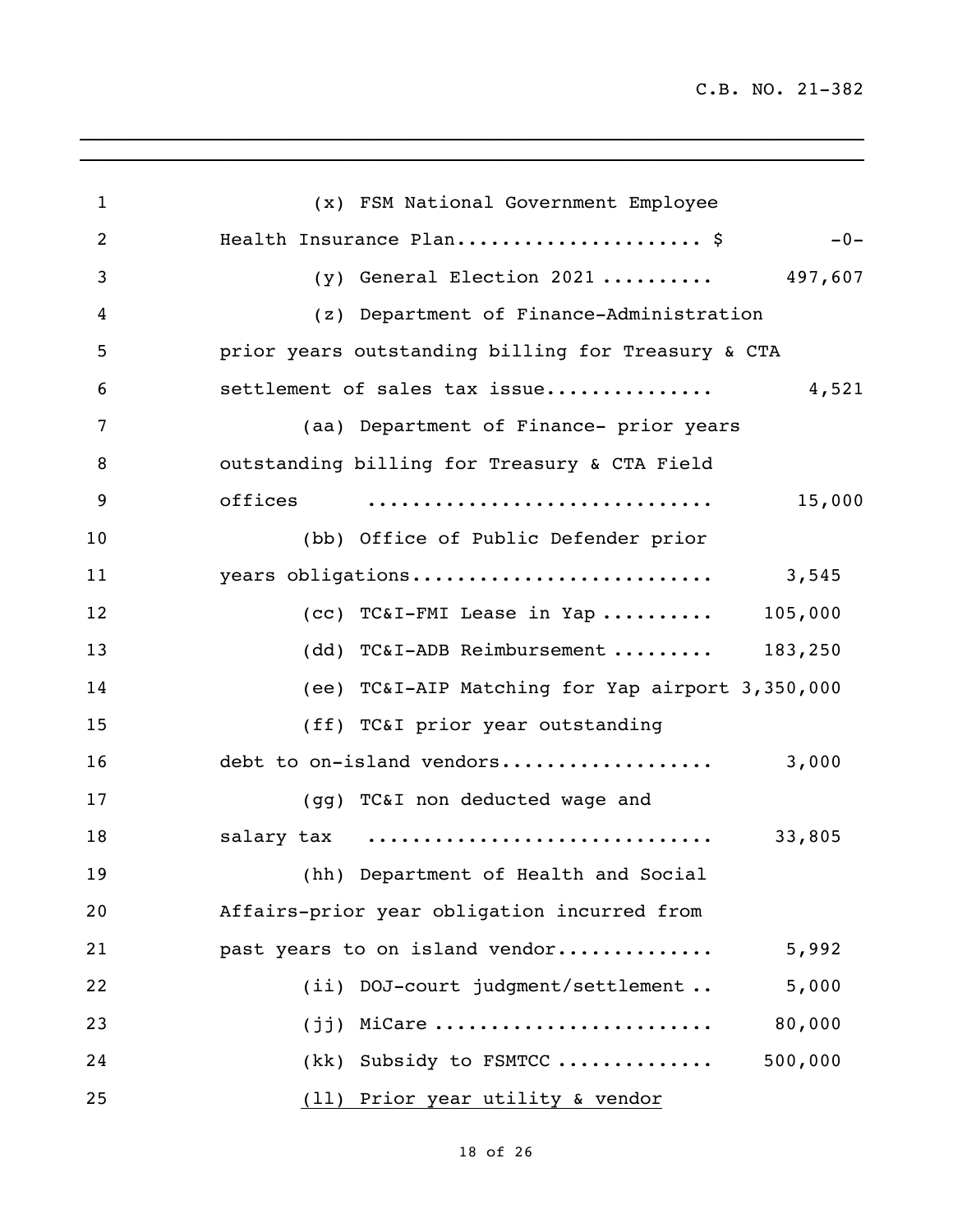C.B. NO. 21-382

| $\mathbf{1}$ | (x) FSM National Government Employee               |         |
|--------------|----------------------------------------------------|---------|
| 2            | Health Insurance Plan \$                           | $-0-$   |
| 3            | (y) General Election 2021  497,607                 |         |
| 4            | (z) Department of Finance-Administration           |         |
| 5            | prior years outstanding billing for Treasury & CTA |         |
| 6            | settlement of sales tax issue                      | 4,521   |
| 7            | (aa) Department of Finance- prior years            |         |
| 8            | outstanding billing for Treasury & CTA Field       |         |
| 9            | offices                                            | 15,000  |
| 10           | (bb) Office of Public Defender prior               |         |
| 11           | years obligations                                  | 3,545   |
| 12           | $(cc)$ TC&I-FMI Lease in Yap  105,000              |         |
| 13           | (dd) TC&I-ADB Reimbursement $183,250$              |         |
| 14           | (ee) TC&I-AIP Matching for Yap airport 3,350,000   |         |
| 15           | (ff) TC&I prior year outstanding                   |         |
| 16           | debt to on-island vendors                          | 3,000   |
| 17           | (gg) TC&I non deducted wage and                    |         |
| 18           | salary tax                                         | 33,805  |
| 19           | (hh) Department of Health and Social               |         |
| 20           | Affairs-prior year obligation incurred from        |         |
| 21           | past years to on island vendor                     | 5,992   |
| 22           | (ii) DOJ-court judgment/settlement                 | 5,000   |
| 23           | $(jj)$ MiCare                                      | 80,000  |
| 24           | (kk) Subsidy to FSMTCC                             | 500,000 |
| 25           | (11) Prior year utility & vendor                   |         |

\_\_\_\_\_\_\_\_\_\_\_\_\_\_\_\_\_\_\_\_\_\_\_\_\_\_\_\_\_\_\_\_\_\_\_\_\_\_\_\_\_\_\_\_\_\_\_\_\_\_\_\_\_\_\_\_\_\_\_\_\_\_\_\_\_\_\_\_\_\_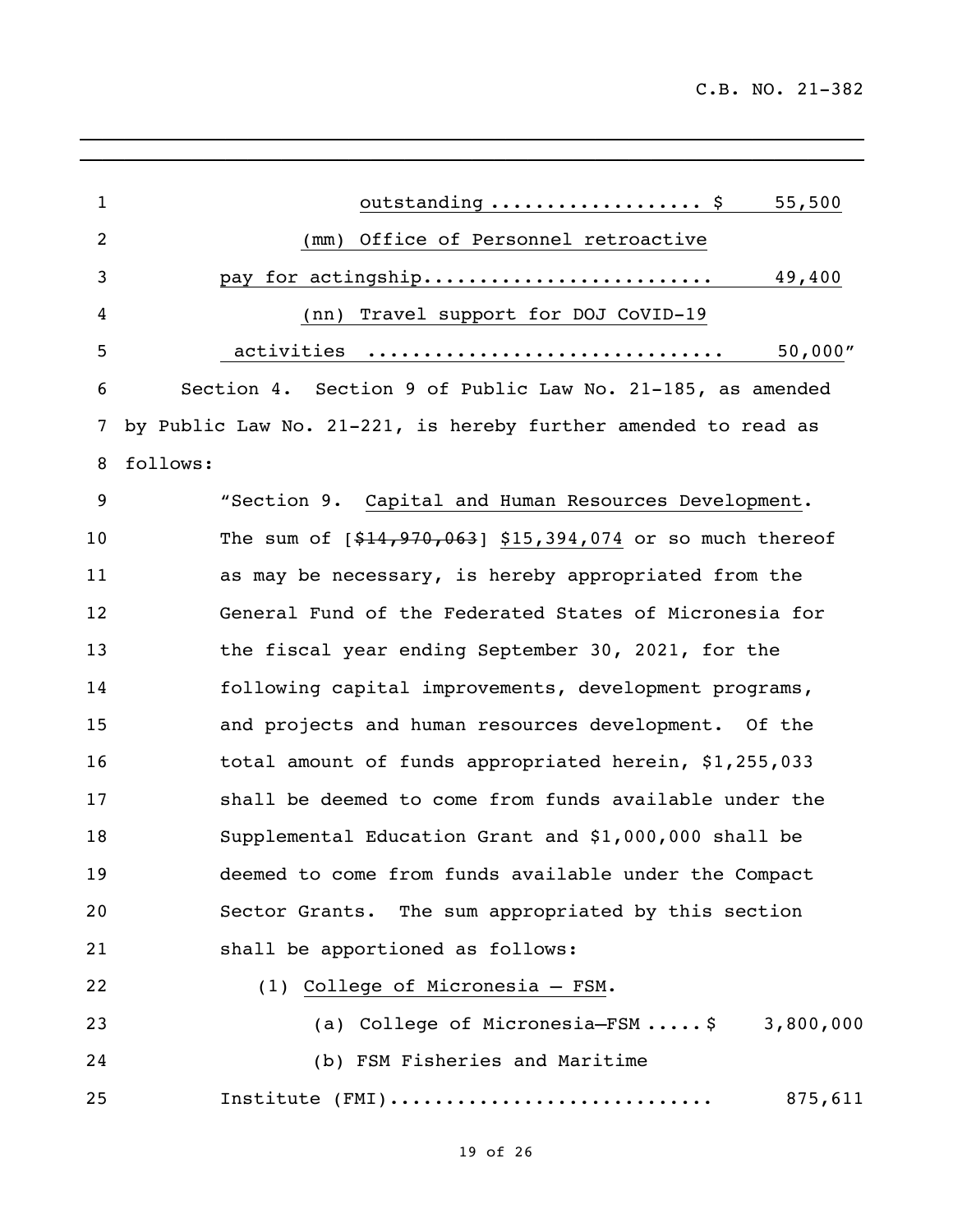| $\mathbf{1}$   | 55,500<br>outstanding  \$                                      |
|----------------|----------------------------------------------------------------|
| $\overline{2}$ | Office of Personnel retroactive<br>(mm)                        |
| 3              | pay for actingship<br>49,400                                   |
| 4              | Travel support for DOJ CoVID-19<br>(nn)                        |
| 5              | 50,000"<br>activities                                          |
| 6              | Section 4. Section 9 of Public Law No. 21-185, as amended      |
| 7              | by Public Law No. 21-221, is hereby further amended to read as |
| 8              | follows:                                                       |
| 9              | "Section 9. Capital and Human Resources Development.           |
| 10             | The sum of $[$14,970,063]$ \$15,394,074 or so much thereof     |
| 11             | as may be necessary, is hereby appropriated from the           |
| 12             | General Fund of the Federated States of Micronesia for         |
| 13             | the fiscal year ending September 30, 2021, for the             |
| 14             | following capital improvements, development programs,          |
| 15             | and projects and human resources development. Of the           |
| 16             | total amount of funds appropriated herein, \$1,255,033         |
| 17             | shall be deemed to come from funds available under the         |
| 18             | Supplemental Education Grant and \$1,000,000 shall be          |
| 19             | deemed to come from funds available under the Compact          |
| 20             | The sum appropriated by this section<br>Sector Grants.         |
| 21             | shall be apportioned as follows:                               |
| 22             | (1) College of Micronesia - FSM.                               |
| 23             | (a) College of Micronesia-FSM $\ldots$ , \$ 3,800,000          |
| 24             | (b) FSM Fisheries and Maritime                                 |
| 25             | Institute (FMI)<br>875,611                                     |
|                |                                                                |

 $\mathcal{L}_\mathcal{L}$  , and the set of the set of the set of the set of the set of the set of the set of the set of the set of the set of the set of the set of the set of the set of the set of the set of the set of the set of th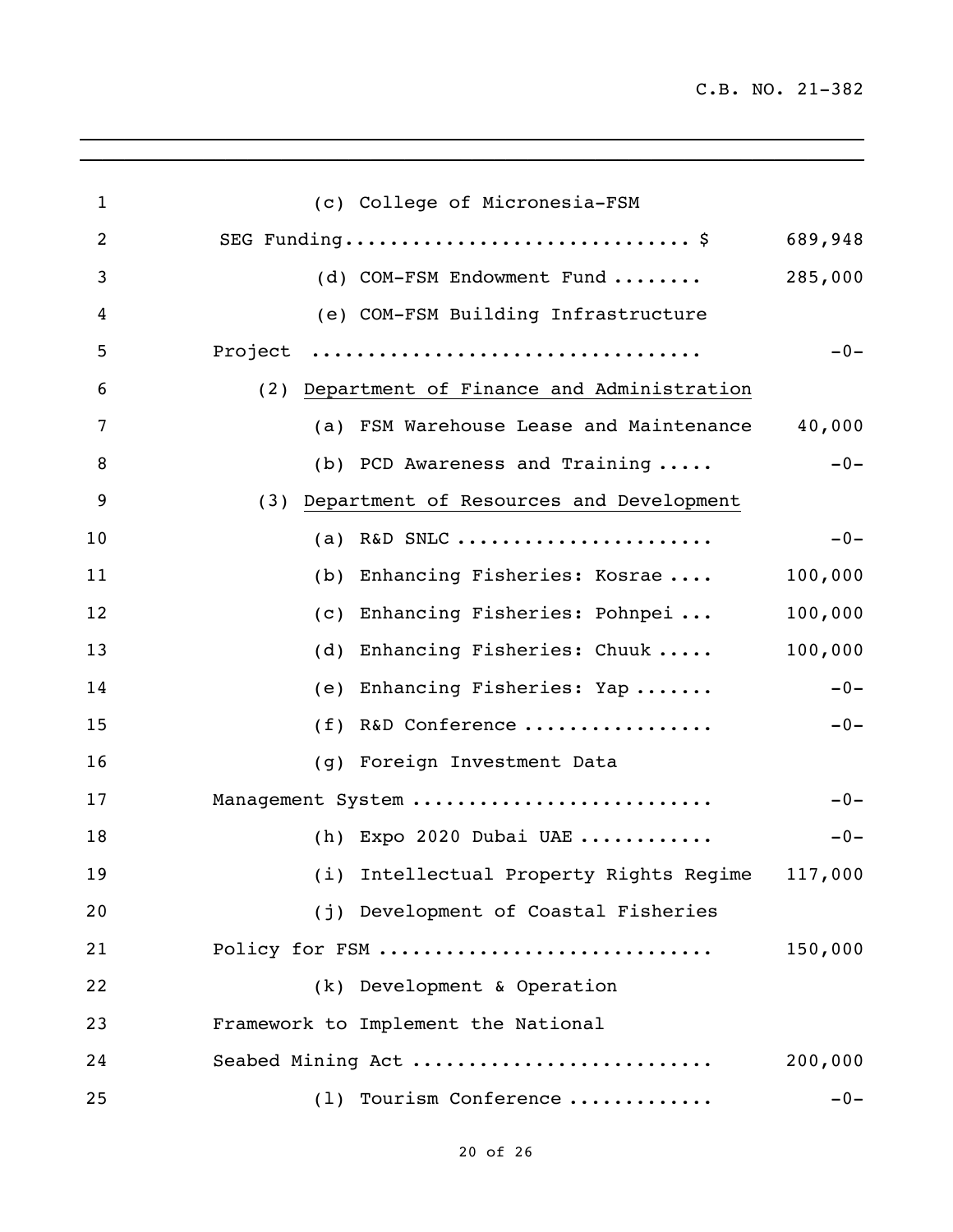C.B. NO. 21-382

| $\mathbf{1}$   | (c) College of Micronesia-FSM                   |         |
|----------------|-------------------------------------------------|---------|
| $\overline{2}$ | SEG Funding\$ 689,948                           |         |
| 3              | (d) COM-FSM Endowment Fund                      | 285,000 |
| 4              | (e) COM-FSM Building Infrastructure             |         |
| 5              | Project                                         | $-0-$   |
| 6              | (2) Department of Finance and Administration    |         |
| 7              | (a) FSM Warehouse Lease and Maintenance         | 40,000  |
| 8              | (b) PCD Awareness and Training                  | $-0-$   |
| 9              | (3) Department of Resources and Development     |         |
| 10             | R&D SNLC<br>(a)                                 | $-0-$   |
| 11             | Enhancing Fisheries: Kosrae<br>(b)              | 100,000 |
| 12             | Enhancing Fisheries: Pohnpei<br>(c)             | 100,000 |
| 13             | Enhancing Fisheries: Chuuk  100,000<br>(d)      |         |
| 14             | (e) Enhancing Fisheries: Yap                    | $-0-$   |
| 15             | (f) R&D Conference                              | $-0-$   |
| 16             | (g) Foreign Investment Data                     |         |
| 17             | Management System                               | $-0-$   |
| 18             | (h) Expo 2020 Dubai UAE                         | $-0-$   |
| 19             | (i) Intellectual Property Rights Regime 117,000 |         |
| 20             | (j) Development of Coastal Fisheries            |         |
| 21             | Policy for FSM                                  | 150,000 |
| 22             | (k) Development & Operation                     |         |
| 23             | Framework to Implement the National             |         |
| 24             | Seabed Mining Act                               | 200,000 |
| 25             | (1) Tourism Conference                          | $-0-$   |

 $\mathcal{L}_\mathcal{L}$  , and the set of the set of the set of the set of the set of the set of the set of the set of the set of the set of the set of the set of the set of the set of the set of the set of the set of the set of th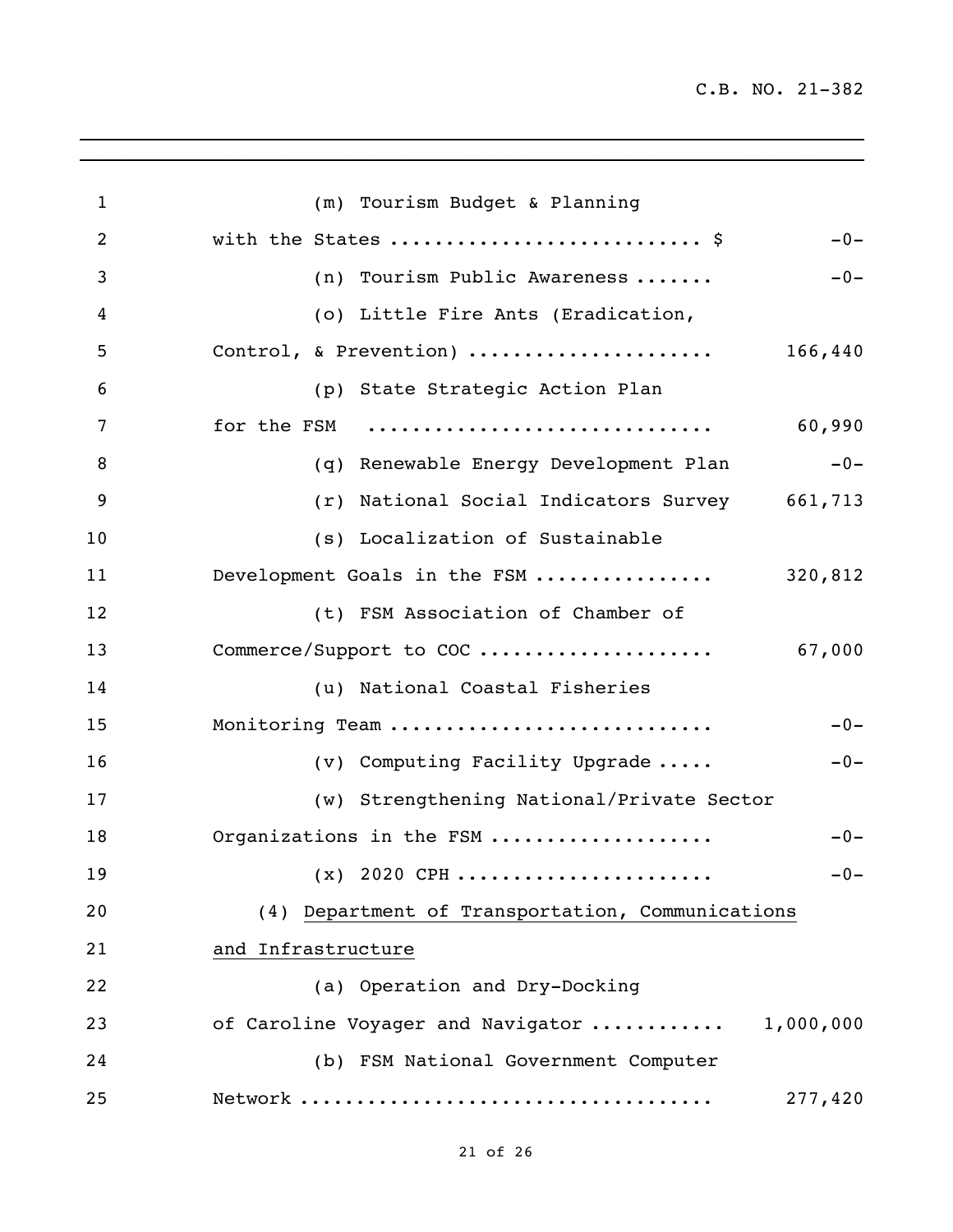| $\mathbf{1}$ | (m) Tourism Budget & Planning                    |
|--------------|--------------------------------------------------|
| 2            | with the States  \$<br>$-0-$                     |
| 3            | (n) Tourism Public Awareness<br>$-0-$            |
| 4            | (o) Little Fire Ants (Eradication,               |
| 5            | Control, & Prevention)<br>166,440                |
| 6            | (p) State Strategic Action Plan                  |
| 7            | for the FSM<br>60,990                            |
| 8            | $-0-$<br>(q) Renewable Energy Development Plan   |
| 9            | (r) National Social Indicators Survey 661,713    |
| 10           | (s) Localization of Sustainable                  |
| 11           | Development Goals in the FSM<br>320,812          |
| 12           | (t) FSM Association of Chamber of                |
| 13           |                                                  |
| 14           | (u) National Coastal Fisheries                   |
| 15           | Monitoring Team<br>$-0-$                         |
| 16           | (v) Computing Facility Upgrade<br>$-0-$          |
| 17           | (w) Strengthening National/Private Sector        |
| 18           | Organizations in the FSM<br>$-0-$                |
| 19           | $(x)$ 2020 CPH<br>-0-                            |
| 20           | (4) Department of Transportation, Communications |
| 21           | and Infrastructure                               |
| 22           | (a) Operation and Dry-Docking                    |
| 23           | of Caroline Voyager and Navigator<br>1,000,000   |
| 24           | (b) FSM National Government Computer             |
| 25           | 277,420                                          |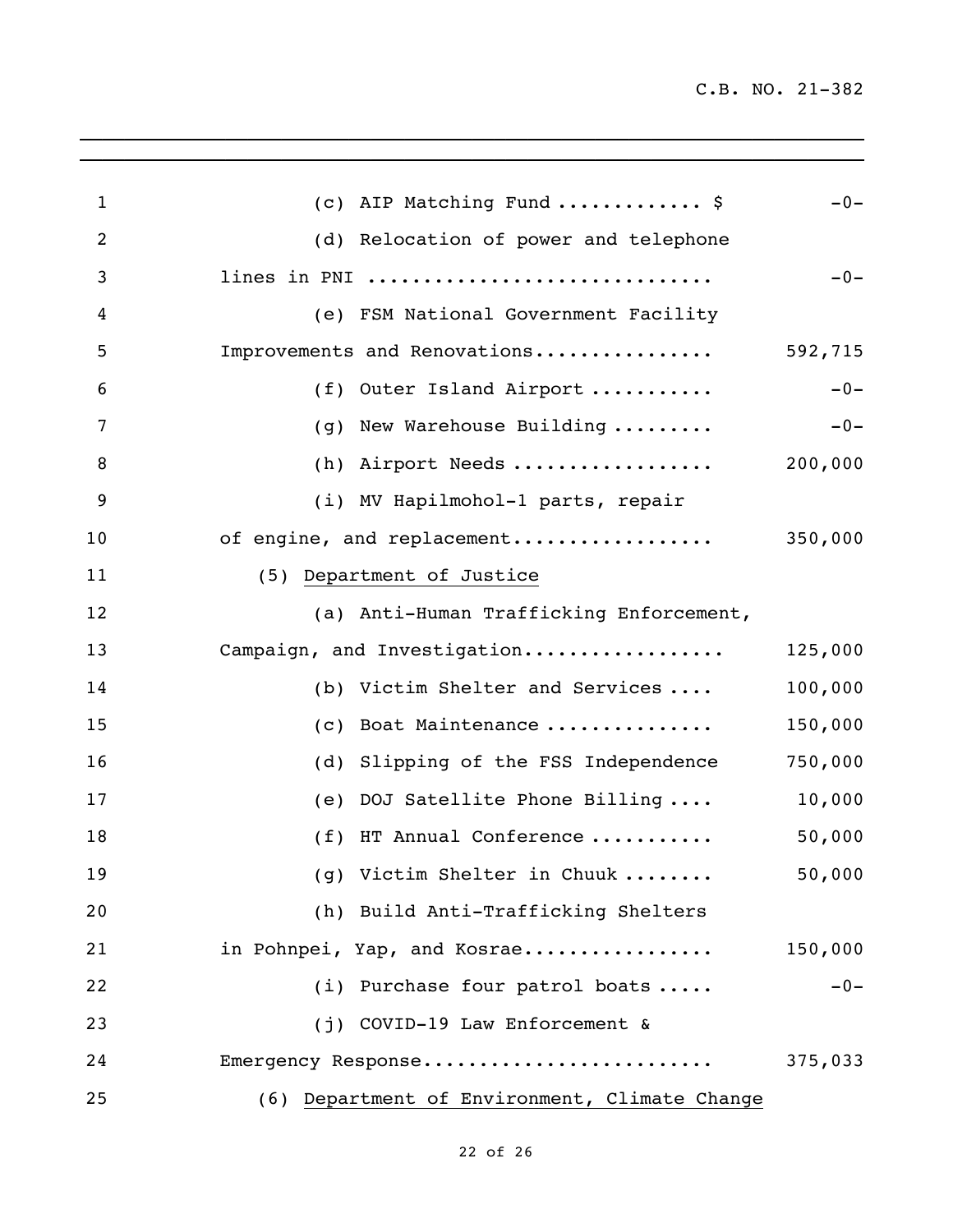| $\mathbf{1}$   |                                           |         |
|----------------|-------------------------------------------|---------|
|                | (c) AIP Matching Fund  \$                 | $-0-$   |
| $\overline{2}$ | (d) Relocation of power and telephone     |         |
| 3              | lines in PNI                              | $-0-$   |
| 4              | (e) FSM National Government Facility      |         |
| 5              | Improvements and Renovations              | 592,715 |
| 6              | (f) Outer Island Airport                  | $-0-$   |
| 7              | (g) New Warehouse Building                | $-0-$   |
| 8              | (h) Airport Needs                         | 200,000 |
| 9              | (i) MV Hapilmohol-1 parts, repair         |         |
| 10             | of engine, and replacement                | 350,000 |
| 11             | (5) Department of Justice                 |         |
| 12             | (a) Anti-Human Trafficking Enforcement,   |         |
| 13             | Campaign, and Investigation               | 125,000 |
| 14             | (b) Victim Shelter and Services           | 100,000 |
| 15             | (c) Boat Maintenance                      | 150,000 |
| 16             | (d) Slipping of the FSS Independence      | 750,000 |
| 17             | (e) DOJ Satellite Phone Billing           | 10,000  |
| 18             | (f) HT Annual Conference                  | 50,000  |
| 19             | (g) Victim Shelter in Chuuk               | 50,000  |
| 20             | (h) Build Anti-Trafficking Shelters       |         |
| 21             | in Pohnpei, Yap, and Kosrae               | 150,000 |
| 22             | (i) Purchase four patrol boats            | $-0-$   |
| 23             | (j) COVID-19 Law Enforcement &            |         |
| 24             | Emergency Response                        | 375,033 |
| 25             | Department of Environment, Climate Change |         |
|                | (6)                                       |         |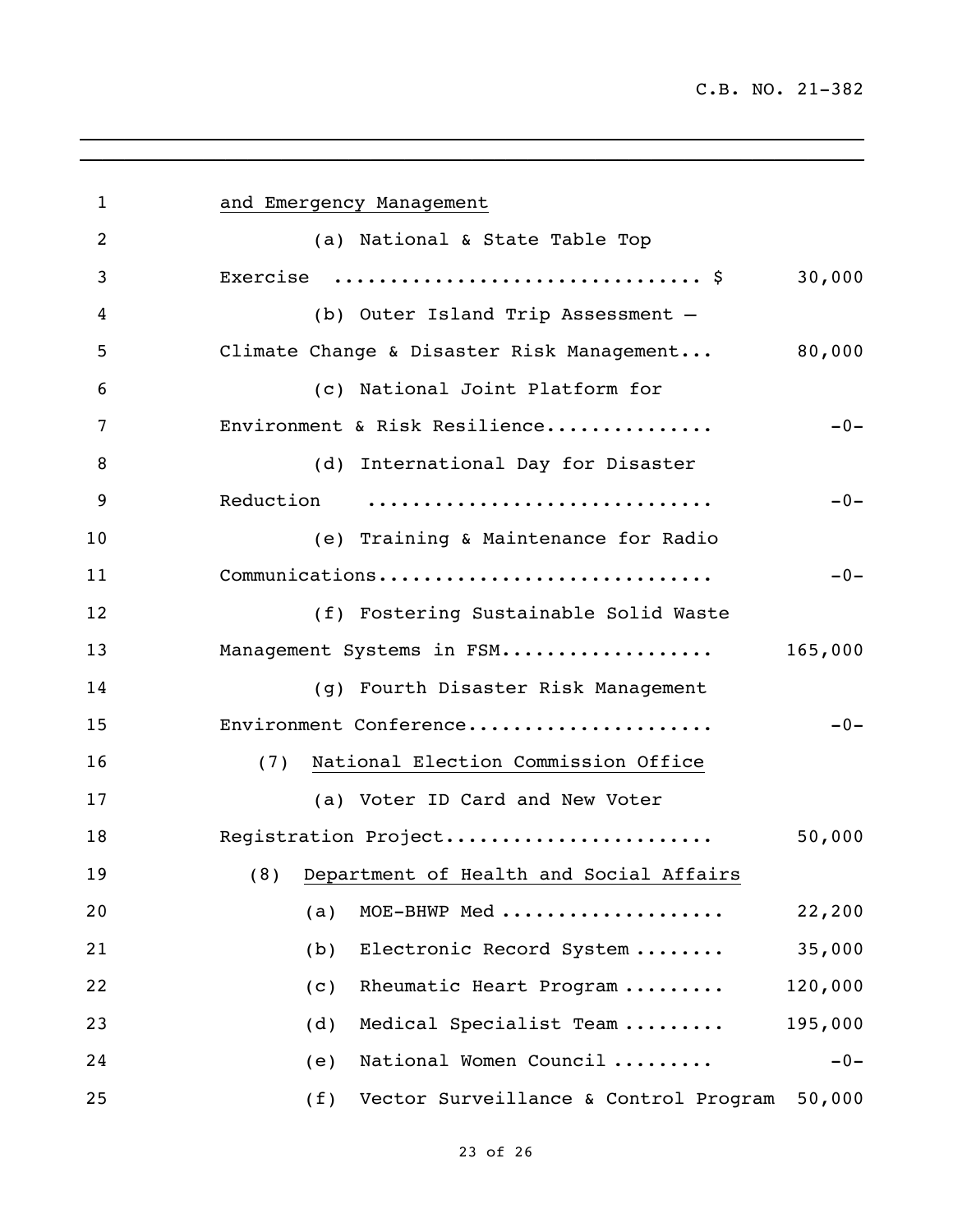| $\mathbf 1$    | and Emergency Management                               |
|----------------|--------------------------------------------------------|
| $\overline{2}$ | (a) National & State Table Top                         |
| 3              | Exercise $\frac{1}{2}$<br>30,000                       |
| 4              | (b) Outer Island Trip Assessment -                     |
| 5              | Climate Change & Disaster Risk Management<br>80,000    |
| 6              | (c) National Joint Platform for                        |
| 7              | Environment & Risk Resilience<br>$-0-$                 |
| 8              | (d) International Day for Disaster                     |
| 9              | Reduction<br>$-0-$                                     |
| 10             | (e) Training & Maintenance for Radio                   |
| 11             | Communications<br>$-0-$                                |
| 12             | (f) Fostering Sustainable Solid Waste                  |
| 13             | Management Systems in FSM<br>165,000                   |
| 14             | (g) Fourth Disaster Risk Management                    |
| 15             | Environment Conference<br>$-0-$                        |
| 16             | National Election Commission Office<br>(7)             |
| 17             | (a) Voter ID Card and New Voter                        |
| 18             | Registration Project<br>50,000                         |
| 19             | (8) Department of Health and Social Affairs            |
| 20             | MOE-BHWP Med<br>22,200<br>(a)                          |
| 21             | 35,000<br>Electronic Record System<br>(b)              |
| 22             | 120,000<br>Rheumatic Heart Program<br>(c)              |
| 23             | Medical Specialist Team<br>195,000<br>(d)              |
| 24             | National Women Council<br>$-0-$<br>(e)                 |
| 25             | Vector Surveillance & Control Program<br>50,000<br>(f) |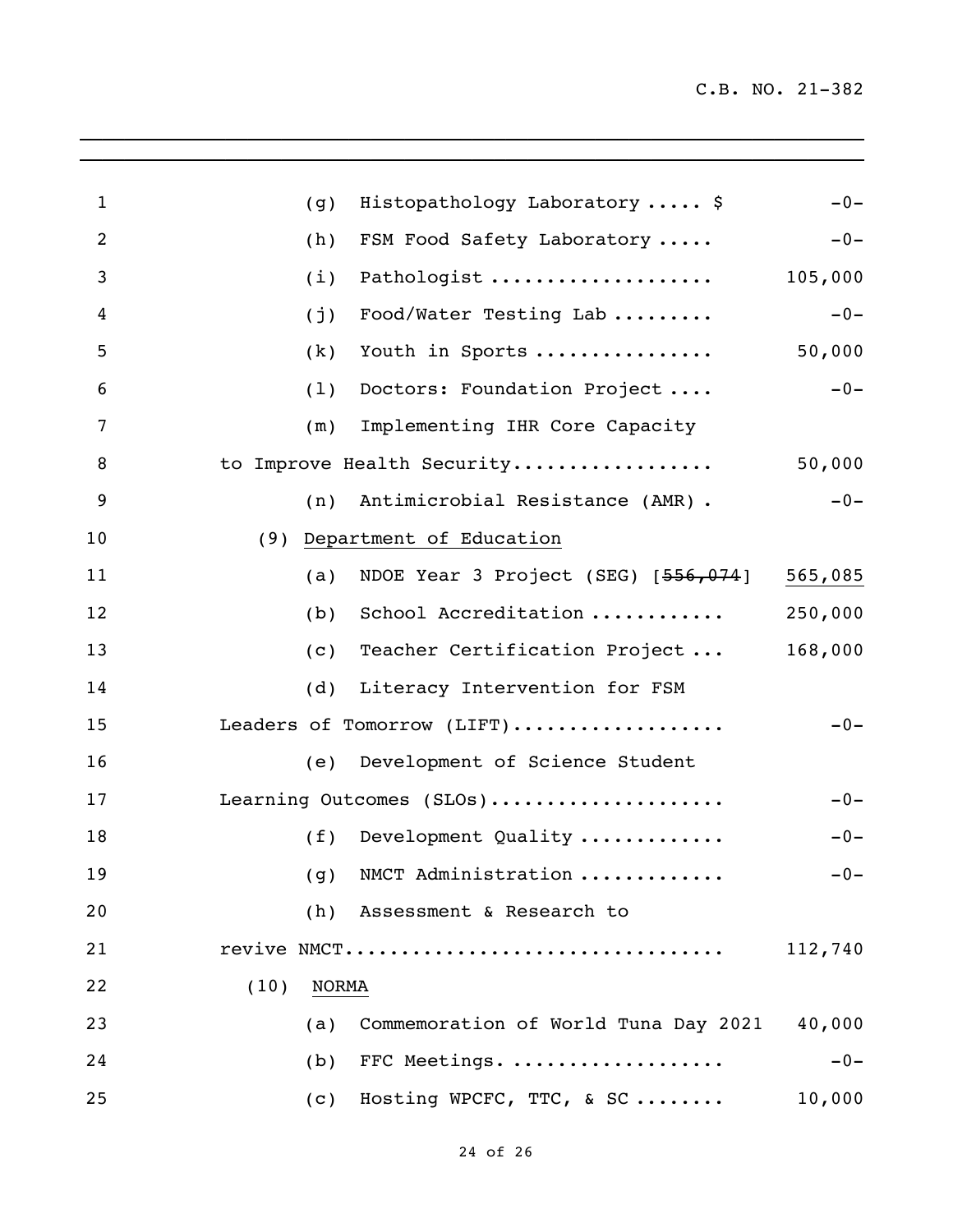| $\mathbf{1}$   | Histopathology Laboratory  \$<br>$-0-$<br>(g)                 |  |
|----------------|---------------------------------------------------------------|--|
| $\overline{2}$ | (h)<br>FSM Food Safety Laboratory<br>$-0-$                    |  |
| 3              | Pathologist<br>105,000<br>(i)                                 |  |
| 4              | $-0-$<br>Food/Water Testing Lab<br>(j)                        |  |
| 5              | 50,000<br>Youth in Sports<br>(k)                              |  |
| 6              | $-0-$<br>Doctors: Foundation Project<br>(1)                   |  |
| 7              | Implementing IHR Core Capacity<br>(m)                         |  |
| 8              | 50,000<br>to Improve Health Security                          |  |
| 9              | Antimicrobial Resistance (AMR) .<br>$-0-$<br>(n)              |  |
| 10             | Department of Education<br>(9)                                |  |
| 11             | NDOE Year 3 Project (SEG) [556,074]<br>565,085<br>(a)         |  |
| 12             | School Accreditation<br>250,000<br>(b)                        |  |
| 13             | Teacher Certification Project<br>168,000<br>$\left( c\right)$ |  |
| 14             | Literacy Intervention for FSM<br>(d)                          |  |
| 15             | Leaders of Tomorrow (LIFT)<br>$-0-$                           |  |
| 16             | Development of Science Student<br>(e)                         |  |
| 17             | Learning Outcomes (SLOs)<br>$-0-$                             |  |
| 18             | Development Quality<br>(f)<br>$-0-$                           |  |
| 19             | (g) NMCT Administration $\ldots \ldots \ldots$<br>$-0-$       |  |
| 20             | (h)<br>Assessment & Research to                               |  |
| 21             | revive NMCT<br>112,740                                        |  |
| 22             | (10)<br>NORMA                                                 |  |
| 23             | Commemoration of World Tuna Day 2021<br>40,000<br>(a)         |  |
| 24             | FFC Meetings.<br>$-0-$<br>(b)                                 |  |
| 25             | Hosting WPCFC, TTC, & SC<br>10,000<br>(c)                     |  |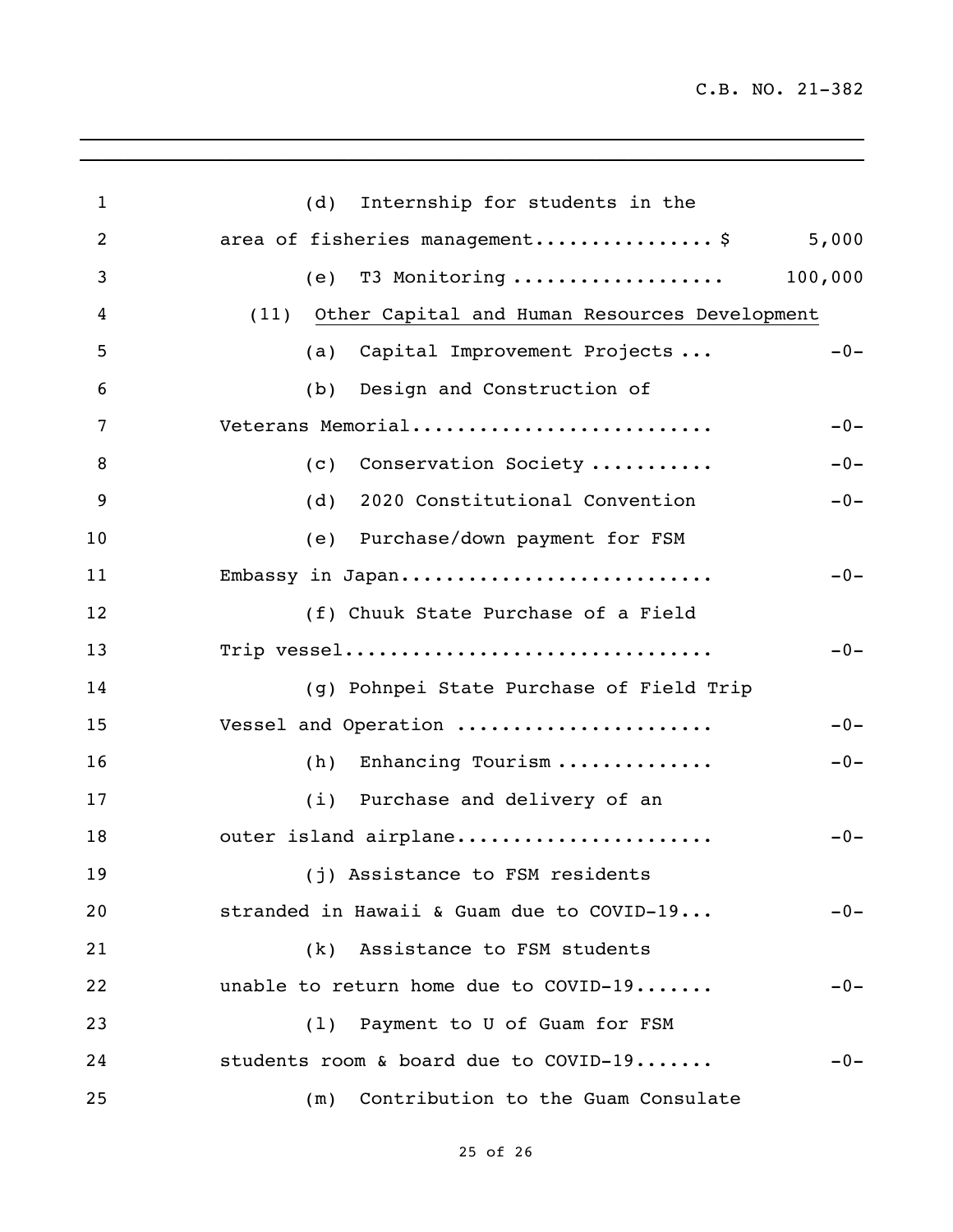| $\mathbf{1}$   | Internship for students in the<br>(d)              |       |
|----------------|----------------------------------------------------|-------|
| $\overline{2}$ | area of fisheries management\$                     | 5,000 |
| 3              | T3 Monitoring  100,000<br>(e)                      |       |
| 4              | (11) Other Capital and Human Resources Development |       |
| 5              | Capital Improvement Projects<br>(a)                | $-0-$ |
| 6              | Design and Construction of<br>(b)                  |       |
| 7              | Veterans Memorial                                  | $-0-$ |
| 8              | Conservation Society<br>(c)                        | $-0-$ |
| 9              | (d) 2020 Constitutional Convention                 | $-0-$ |
| 10             | (e) Purchase/down payment for FSM                  |       |
| 11             | Embassy in Japan                                   | $-0-$ |
| 12             | (f) Chuuk State Purchase of a Field                |       |
| 13             | Trip vessel                                        | $-0-$ |
| 14             | (g) Pohnpei State Purchase of Field Trip           |       |
| 15             | Vessel and Operation                               | $-0-$ |
| 16             | Enhancing Tourism<br>(h)                           | $-0-$ |
| 17             | (i) Purchase and delivery of an                    |       |
| 18             | outer island airplane                              | $-0-$ |
| 19             | (j) Assistance to FSM residents                    |       |
| 20             | stranded in Hawaii & Guam due to COVID-19          | $-0-$ |
| 21             | (k) Assistance to FSM students                     |       |
| 22             | unable to return home due to COVID-19              | $-0-$ |
| 23             | (1) Payment to U of Guam for FSM                   |       |
| 24             | students room & board due to COVID-19              | $-0-$ |
| 25             | Contribution to the Guam Consulate<br>(m)          |       |

 $\mathcal{L}_\mathcal{L}$  , and the set of the set of the set of the set of the set of the set of the set of the set of the set of the set of the set of the set of the set of the set of the set of the set of the set of the set of th